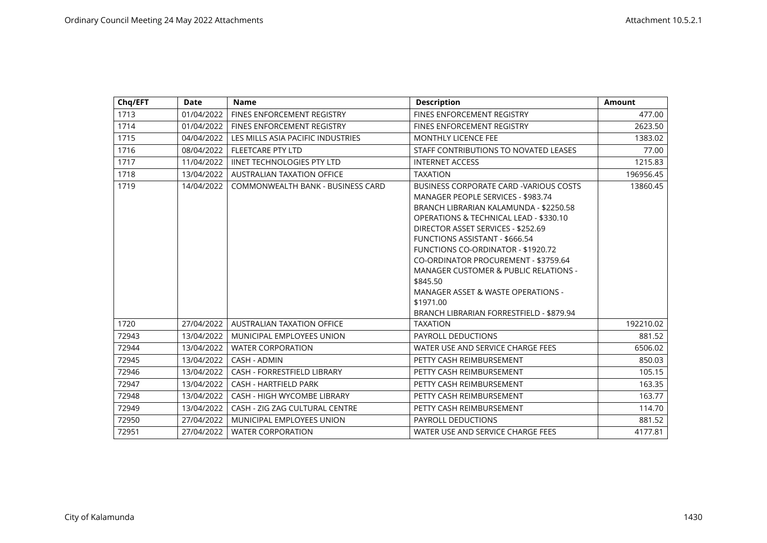| Chq/EFT | Date       | <b>Name</b>                        | <b>Description</b>                                                                                                                                                                                                                                                                                                                                                                                                                                                                                       | <b>Amount</b> |
|---------|------------|------------------------------------|----------------------------------------------------------------------------------------------------------------------------------------------------------------------------------------------------------------------------------------------------------------------------------------------------------------------------------------------------------------------------------------------------------------------------------------------------------------------------------------------------------|---------------|
| 1713    | 01/04/2022 | <b>FINES ENFORCEMENT REGISTRY</b>  | <b>FINES ENFORCEMENT REGISTRY</b>                                                                                                                                                                                                                                                                                                                                                                                                                                                                        | 477.00        |
| 1714    | 01/04/2022 | FINES ENFORCEMENT REGISTRY         | <b>FINES ENFORCEMENT REGISTRY</b>                                                                                                                                                                                                                                                                                                                                                                                                                                                                        | 2623.50       |
| 1715    | 04/04/2022 | LES MILLS ASIA PACIFIC INDUSTRIES  | <b>MONTHLY LICENCE FEE</b>                                                                                                                                                                                                                                                                                                                                                                                                                                                                               | 1383.02       |
| 1716    | 08/04/2022 | <b>FLEETCARE PTY LTD</b>           | STAFF CONTRIBUTIONS TO NOVATED LEASES                                                                                                                                                                                                                                                                                                                                                                                                                                                                    | 77.00         |
| 1717    | 11/04/2022 | <b>IINET TECHNOLOGIES PTY LTD</b>  | <b>INTERNET ACCESS</b>                                                                                                                                                                                                                                                                                                                                                                                                                                                                                   | 1215.83       |
| 1718    | 13/04/2022 | AUSTRALIAN TAXATION OFFICE         | <b>TAXATION</b>                                                                                                                                                                                                                                                                                                                                                                                                                                                                                          | 196956.45     |
| 1719    | 14/04/2022 | COMMONWEALTH BANK - BUSINESS CARD  | BUSINESS CORPORATE CARD - VARIOUS COSTS<br>MANAGER PEOPLE SERVICES - \$983.74<br>BRANCH LIBRARIAN KALAMUNDA - \$2250.58<br><b>OPERATIONS &amp; TECHNICAL LEAD - \$330.10</b><br>DIRECTOR ASSET SERVICES - \$252.69<br>FUNCTIONS ASSISTANT - \$666.54<br>FUNCTIONS CO-ORDINATOR - \$1920.72<br>CO-ORDINATOR PROCUREMENT - \$3759.64<br><b>MANAGER CUSTOMER &amp; PUBLIC RELATIONS -</b><br>\$845.50<br>MANAGER ASSET & WASTE OPERATIONS -<br>\$1971.00<br><b>BRANCH LIBRARIAN FORRESTFIELD - \$879.94</b> | 13860.45      |
| 1720    | 27/04/2022 | <b>AUSTRALIAN TAXATION OFFICE</b>  | <b>TAXATION</b>                                                                                                                                                                                                                                                                                                                                                                                                                                                                                          | 192210.02     |
| 72943   | 13/04/2022 | MUNICIPAL EMPLOYEES UNION          | PAYROLL DEDUCTIONS                                                                                                                                                                                                                                                                                                                                                                                                                                                                                       | 881.52        |
| 72944   | 13/04/2022 | <b>WATER CORPORATION</b>           | WATER USE AND SERVICE CHARGE FEES                                                                                                                                                                                                                                                                                                                                                                                                                                                                        | 6506.02       |
| 72945   | 13/04/2022 | CASH - ADMIN                       | PETTY CASH REIMBURSEMENT                                                                                                                                                                                                                                                                                                                                                                                                                                                                                 | 850.03        |
| 72946   | 13/04/2022 | CASH - FORRESTFIELD LIBRARY        | PETTY CASH REIMBURSEMENT                                                                                                                                                                                                                                                                                                                                                                                                                                                                                 | 105.15        |
| 72947   | 13/04/2022 | <b>CASH - HARTFIELD PARK</b>       | PETTY CASH REIMBURSEMENT                                                                                                                                                                                                                                                                                                                                                                                                                                                                                 | 163.35        |
| 72948   | 13/04/2022 | <b>CASH - HIGH WYCOMBE LIBRARY</b> | PETTY CASH REIMBURSEMENT                                                                                                                                                                                                                                                                                                                                                                                                                                                                                 | 163.77        |
| 72949   | 13/04/2022 | CASH - ZIG ZAG CULTURAL CENTRE     | PETTY CASH REIMBURSEMENT                                                                                                                                                                                                                                                                                                                                                                                                                                                                                 | 114.70        |
| 72950   | 27/04/2022 | MUNICIPAL EMPLOYEES UNION          | PAYROLL DEDUCTIONS                                                                                                                                                                                                                                                                                                                                                                                                                                                                                       | 881.52        |
| 72951   | 27/04/2022 | <b>WATER CORPORATION</b>           | WATER USE AND SERVICE CHARGE FEES                                                                                                                                                                                                                                                                                                                                                                                                                                                                        | 4177.81       |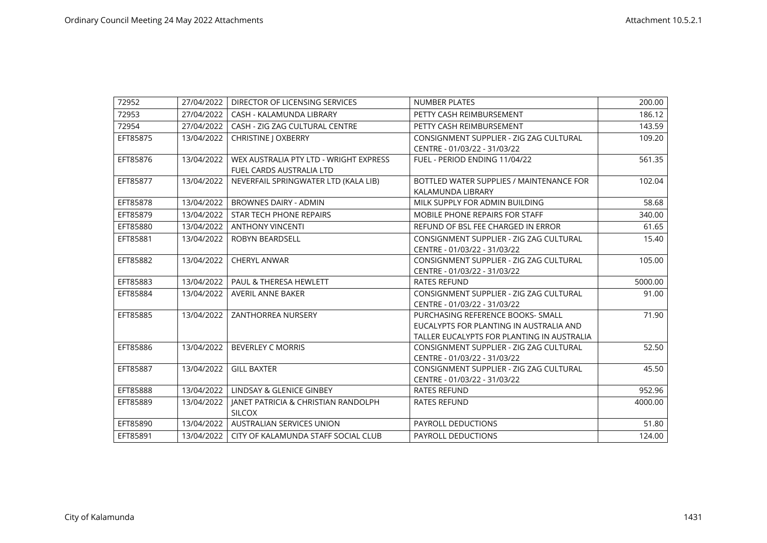| 72952    | 27/04/2022 | DIRECTOR OF LICENSING SERVICES         | <b>NUMBER PLATES</b>                       | 200.00  |
|----------|------------|----------------------------------------|--------------------------------------------|---------|
| 72953    | 27/04/2022 | CASH - KALAMUNDA LIBRARY               | PETTY CASH REIMBURSEMENT                   | 186.12  |
| 72954    | 27/04/2022 | CASH - ZIG ZAG CULTURAL CENTRE         | PETTY CASH REIMBURSEMENT                   | 143.59  |
| EFT85875 | 13/04/2022 | CHRISTINE J OXBERRY                    | CONSIGNMENT SUPPLIER - ZIG ZAG CULTURAL    | 109.20  |
|          |            |                                        | CENTRE - 01/03/22 - 31/03/22               |         |
| EFT85876 | 13/04/2022 | WEX AUSTRALIA PTY LTD - WRIGHT EXPRESS | FUEL - PERIOD ENDING 11/04/22              | 561.35  |
|          |            | <b>FUEL CARDS AUSTRALIA LTD</b>        |                                            |         |
| EFT85877 | 13/04/2022 | NEVERFAIL SPRINGWATER LTD (KALA LIB)   | BOTTLED WATER SUPPLIES / MAINTENANCE FOR   | 102.04  |
|          |            |                                        | KALAMUNDA LIBRARY                          |         |
| EFT85878 | 13/04/2022 | <b>BROWNES DAIRY - ADMIN</b>           | MILK SUPPLY FOR ADMIN BUILDING             | 58.68   |
| EFT85879 | 13/04/2022 | <b>STAR TECH PHONE REPAIRS</b>         | <b>MOBILE PHONE REPAIRS FOR STAFF</b>      | 340.00  |
| EFT85880 | 13/04/2022 | <b>ANTHONY VINCENTI</b>                | REFUND OF BSL FEE CHARGED IN ERROR         | 61.65   |
| EFT85881 | 13/04/2022 | <b>ROBYN BEARDSELL</b>                 | CONSIGNMENT SUPPLIER - ZIG ZAG CULTURAL    | 15.40   |
|          |            |                                        | CENTRE - 01/03/22 - 31/03/22               |         |
| EFT85882 | 13/04/2022 | <b>CHERYL ANWAR</b>                    | CONSIGNMENT SUPPLIER - ZIG ZAG CULTURAL    | 105.00  |
|          |            |                                        | CENTRE - 01/03/22 - 31/03/22               |         |
| EFT85883 | 13/04/2022 | PAUL & THERESA HEWLETT                 | <b>RATES REFUND</b>                        | 5000.00 |
| EFT85884 | 13/04/2022 | <b>AVERIL ANNE BAKER</b>               | CONSIGNMENT SUPPLIER - ZIG ZAG CULTURAL    | 91.00   |
|          |            |                                        | CENTRE - 01/03/22 - 31/03/22               |         |
| EFT85885 | 13/04/2022 | <b>ZANTHORREA NURSERY</b>              | PURCHASING REFERENCE BOOKS- SMALL          | 71.90   |
|          |            |                                        | EUCALYPTS FOR PLANTING IN AUSTRALIA AND    |         |
|          |            |                                        | TALLER EUCALYPTS FOR PLANTING IN AUSTRALIA |         |
| EFT85886 | 13/04/2022 | <b>BEVERLEY C MORRIS</b>               | CONSIGNMENT SUPPLIER - ZIG ZAG CULTURAL    | 52.50   |
|          |            |                                        | CENTRE - 01/03/22 - 31/03/22               |         |
| EFT85887 | 13/04/2022 | <b>GILL BAXTER</b>                     | CONSIGNMENT SUPPLIER - ZIG ZAG CULTURAL    | 45.50   |
|          |            |                                        | CENTRE - 01/03/22 - 31/03/22               |         |
| EFT85888 | 13/04/2022 | LINDSAY & GLENICE GINBEY               | <b>RATES REFUND</b>                        | 952.96  |
| EFT85889 | 13/04/2022 | JANET PATRICIA & CHRISTIAN RANDOLPH    | <b>RATES REFUND</b>                        | 4000.00 |
|          |            | <b>SILCOX</b>                          |                                            |         |
| EFT85890 | 13/04/2022 | <b>AUSTRALIAN SERVICES UNION</b>       | <b>PAYROLL DEDUCTIONS</b>                  | 51.80   |
| EFT85891 | 13/04/2022 | CITY OF KALAMUNDA STAFF SOCIAL CLUB    | PAYROLL DEDUCTIONS                         | 124.00  |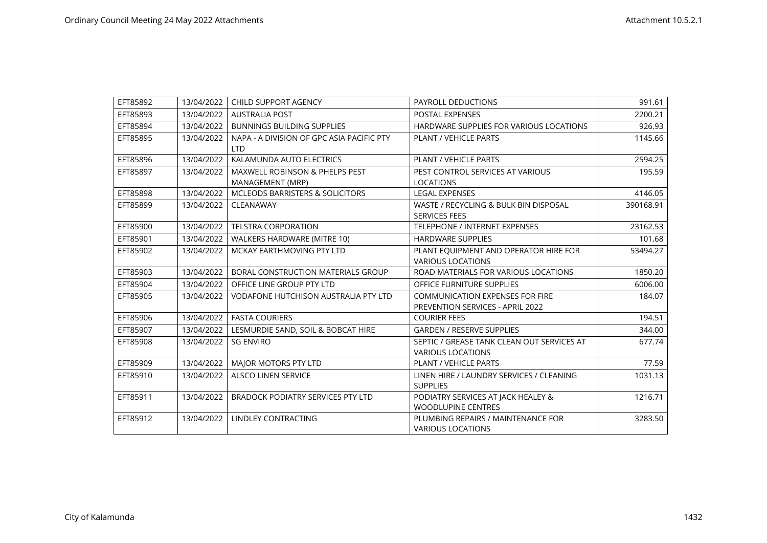| EFT85892 | 13/04/2022 | CHILD SUPPORT AGENCY                                          | <b>PAYROLL DEDUCTIONS</b>                                                  | 991.61    |
|----------|------------|---------------------------------------------------------------|----------------------------------------------------------------------------|-----------|
| EFT85893 | 13/04/2022 | <b>AUSTRALIA POST</b>                                         | <b>POSTAL EXPENSES</b>                                                     | 2200.21   |
| EFT85894 | 13/04/2022 | <b>BUNNINGS BUILDING SUPPLIES</b>                             | HARDWARE SUPPLIES FOR VARIOUS LOCATIONS                                    | 926.93    |
| EFT85895 | 13/04/2022 | NAPA - A DIVISION OF GPC ASIA PACIFIC PTY<br><b>LTD</b>       | <b>PLANT / VEHICLE PARTS</b>                                               | 1145.66   |
| EFT85896 | 13/04/2022 | KALAMUNDA AUTO ELECTRICS                                      | <b>PLANT / VEHICLE PARTS</b>                                               | 2594.25   |
| EFT85897 | 13/04/2022 | <b>MAXWELL ROBINSON &amp; PHELPS PEST</b><br>MANAGEMENT (MRP) | PEST CONTROL SERVICES AT VARIOUS<br><b>LOCATIONS</b>                       | 195.59    |
| EFT85898 | 13/04/2022 | <b>MCLEODS BARRISTERS &amp; SOLICITORS</b>                    | <b>LEGAL EXPENSES</b>                                                      | 4146.05   |
| EFT85899 | 13/04/2022 | CLEANAWAY                                                     | WASTE / RECYCLING & BULK BIN DISPOSAL<br><b>SERVICES FEES</b>              | 390168.91 |
| EFT85900 | 13/04/2022 | <b>TELSTRA CORPORATION</b>                                    | <b>TELEPHONE / INTERNET EXPENSES</b>                                       | 23162.53  |
| EFT85901 | 13/04/2022 | WALKERS HARDWARE (MITRE 10)                                   | <b>HARDWARE SUPPLIES</b>                                                   | 101.68    |
| EFT85902 | 13/04/2022 | MCKAY EARTHMOVING PTY LTD                                     | PLANT EQUIPMENT AND OPERATOR HIRE FOR<br><b>VARIOUS LOCATIONS</b>          | 53494.27  |
| EFT85903 | 13/04/2022 | BORAL CONSTRUCTION MATERIALS GROUP                            | ROAD MATERIALS FOR VARIOUS LOCATIONS                                       | 1850.20   |
| EFT85904 | 13/04/2022 | OFFICE LINE GROUP PTY LTD                                     | OFFICE FURNITURE SUPPLIES                                                  | 6006.00   |
| EFT85905 | 13/04/2022 | <b>VODAFONE HUTCHISON AUSTRALIA PTY LTD</b>                   | <b>COMMUNICATION EXPENSES FOR FIRE</b><br>PREVENTION SERVICES - APRIL 2022 | 184.07    |
| EFT85906 | 13/04/2022 | <b>FASTA COURIERS</b>                                         | <b>COURIER FEES</b>                                                        | 194.51    |
| EFT85907 | 13/04/2022 | LESMURDIE SAND, SOIL & BOBCAT HIRE                            | <b>GARDEN / RESERVE SUPPLIES</b>                                           | 344.00    |
| EFT85908 | 13/04/2022 | <b>SG ENVIRO</b>                                              | SEPTIC / GREASE TANK CLEAN OUT SERVICES AT<br><b>VARIOUS LOCATIONS</b>     | 677.74    |
| EFT85909 | 13/04/2022 | MAJOR MOTORS PTY LTD                                          | <b>PLANT / VEHICLE PARTS</b>                                               | 77.59     |
| EFT85910 | 13/04/2022 | <b>ALSCO LINEN SERVICE</b>                                    | LINEN HIRE / LAUNDRY SERVICES / CLEANING<br><b>SUPPLIES</b>                | 1031.13   |
| EFT85911 | 13/04/2022 | <b>BRADOCK PODIATRY SERVICES PTY LTD</b>                      | PODIATRY SERVICES AT JACK HEALEY &<br><b>WOODLUPINE CENTRES</b>            | 1216.71   |
| EFT85912 | 13/04/2022 | LINDLEY CONTRACTING                                           | PLUMBING REPAIRS / MAINTENANCE FOR<br><b>VARIOUS LOCATIONS</b>             | 3283.50   |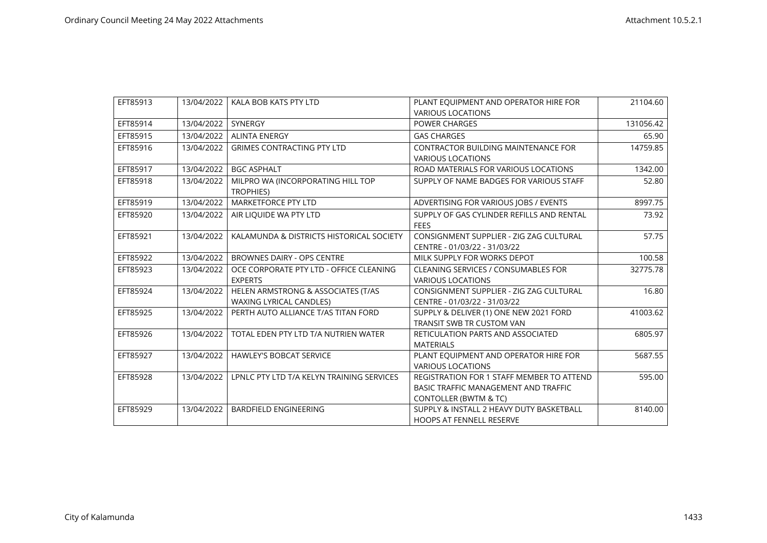| EFT85913 | 13/04/2022 | KALA BOB KATS PTY LTD                     | PLANT EQUIPMENT AND OPERATOR HIRE FOR      | 21104.60  |
|----------|------------|-------------------------------------------|--------------------------------------------|-----------|
|          |            |                                           | <b>VARIOUS LOCATIONS</b>                   |           |
| EFT85914 | 13/04/2022 | <b>SYNERGY</b>                            | <b>POWER CHARGES</b>                       | 131056.42 |
| EFT85915 | 13/04/2022 | <b>ALINTA ENERGY</b>                      | <b>GAS CHARGES</b>                         | 65.90     |
| EFT85916 | 13/04/2022 | <b>GRIMES CONTRACTING PTY LTD</b>         | <b>CONTRACTOR BUILDING MAINTENANCE FOR</b> | 14759.85  |
|          |            |                                           | <b>VARIOUS LOCATIONS</b>                   |           |
| EFT85917 | 13/04/2022 | <b>BGC ASPHALT</b>                        | ROAD MATERIALS FOR VARIOUS LOCATIONS       | 1342.00   |
| EFT85918 | 13/04/2022 | MILPRO WA (INCORPORATING HILL TOP         | SUPPLY OF NAME BADGES FOR VARIOUS STAFF    | 52.80     |
|          |            | <b>TROPHIES)</b>                          |                                            |           |
| EFT85919 | 13/04/2022 | <b>MARKETFORCE PTY LTD</b>                | ADVERTISING FOR VARIOUS JOBS / EVENTS      | 8997.75   |
| EFT85920 | 13/04/2022 | AIR LIQUIDE WA PTY LTD                    | SUPPLY OF GAS CYLINDER REFILLS AND RENTAL  | 73.92     |
|          |            |                                           | <b>FEES</b>                                |           |
| EFT85921 | 13/04/2022 | KALAMUNDA & DISTRICTS HISTORICAL SOCIETY  | CONSIGNMENT SUPPLIER - ZIG ZAG CULTURAL    | 57.75     |
|          |            |                                           | CENTRE - 01/03/22 - 31/03/22               |           |
| EFT85922 | 13/04/2022 | <b>BROWNES DAIRY - OPS CENTRE</b>         | MILK SUPPLY FOR WORKS DEPOT                | 100.58    |
| EFT85923 | 13/04/2022 | OCE CORPORATE PTY LTD - OFFICE CLEANING   | <b>CLEANING SERVICES / CONSUMABLES FOR</b> | 32775.78  |
|          |            | <b>EXPERTS</b>                            | <b>VARIOUS LOCATIONS</b>                   |           |
| EFT85924 | 13/04/2022 | HELEN ARMSTRONG & ASSOCIATES (T/AS        | CONSIGNMENT SUPPLIER - ZIG ZAG CULTURAL    | 16.80     |
|          |            | <b>WAXING LYRICAL CANDLES)</b>            | CENTRE - 01/03/22 - 31/03/22               |           |
| EFT85925 | 13/04/2022 | PERTH AUTO ALLIANCE T/AS TITAN FORD       | SUPPLY & DELIVER (1) ONE NEW 2021 FORD     | 41003.62  |
|          |            |                                           | TRANSIT SWB TR CUSTOM VAN                  |           |
| EFT85926 | 13/04/2022 | TOTAL EDEN PTY LTD T/A NUTRIEN WATER      | RETICULATION PARTS AND ASSOCIATED          | 6805.97   |
|          |            |                                           | <b>MATERIALS</b>                           |           |
| EFT85927 | 13/04/2022 | <b>HAWLEY'S BOBCAT SERVICE</b>            | PLANT EQUIPMENT AND OPERATOR HIRE FOR      | 5687.55   |
|          |            |                                           | <b>VARIOUS LOCATIONS</b>                   |           |
| EFT85928 | 13/04/2022 | LPNLC PTY LTD T/A KELYN TRAINING SERVICES | REGISTRATION FOR 1 STAFF MEMBER TO ATTEND  | 595.00    |
|          |            |                                           | BASIC TRAFFIC MANAGEMENT AND TRAFFIC       |           |
|          |            |                                           | CONTOLLER (BWTM & TC)                      |           |
| EFT85929 | 13/04/2022 | <b>BARDFIELD ENGINEERING</b>              | SUPPLY & INSTALL 2 HEAVY DUTY BASKETBALL   | 8140.00   |
|          |            |                                           | <b>HOOPS AT FENNELL RESERVE</b>            |           |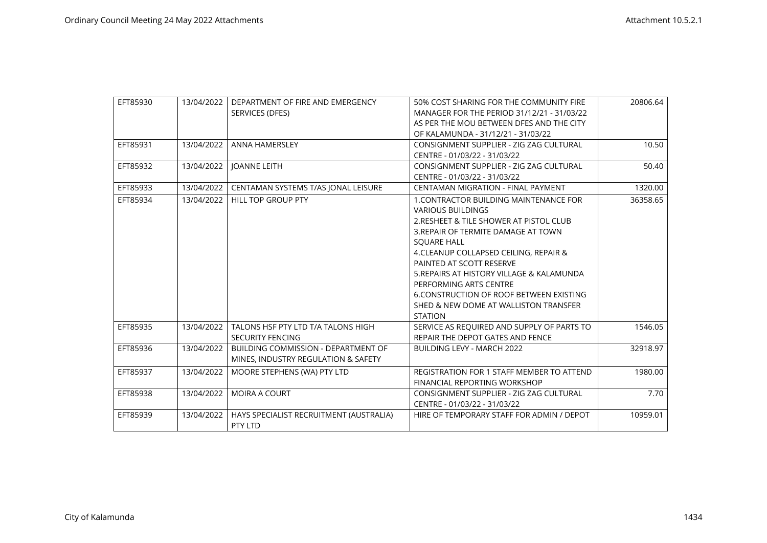| EFT85930 | 13/04/2022 | DEPARTMENT OF FIRE AND EMERGENCY<br>SERVICES (DFES)                               | 50% COST SHARING FOR THE COMMUNITY FIRE<br>MANAGER FOR THE PERIOD 31/12/21 - 31/03/22<br>AS PER THE MOU BETWEEN DFES AND THE CITY<br>OF KALAMUNDA - 31/12/21 - 31/03/22                                                                                                                                                                                                                                                        | 20806.64 |
|----------|------------|-----------------------------------------------------------------------------------|--------------------------------------------------------------------------------------------------------------------------------------------------------------------------------------------------------------------------------------------------------------------------------------------------------------------------------------------------------------------------------------------------------------------------------|----------|
| EFT85931 | 13/04/2022 | <b>ANNA HAMERSLEY</b>                                                             | CONSIGNMENT SUPPLIER - ZIG ZAG CULTURAL<br>CENTRE - 01/03/22 - 31/03/22                                                                                                                                                                                                                                                                                                                                                        | 10.50    |
| EFT85932 | 13/04/2022 | <b>JOANNE LEITH</b>                                                               | CONSIGNMENT SUPPLIER - ZIG ZAG CULTURAL<br>CENTRE - 01/03/22 - 31/03/22                                                                                                                                                                                                                                                                                                                                                        | 50.40    |
| EFT85933 | 13/04/2022 | CENTAMAN SYSTEMS T/AS JONAL LEISURE                                               | CENTAMAN MIGRATION - FINAL PAYMENT                                                                                                                                                                                                                                                                                                                                                                                             | 1320.00  |
| EFT85934 | 13/04/2022 | <b>HILL TOP GROUP PTY</b>                                                         | 1. CONTRACTOR BUILDING MAINTENANCE FOR<br><b>VARIOUS BUILDINGS</b><br>2. RESHEET & TILE SHOWER AT PISTOL CLUB<br>3. REPAIR OF TERMITE DAMAGE AT TOWN<br><b>SOUARE HALL</b><br>4. CLEANUP COLLAPSED CEILING, REPAIR &<br>PAINTED AT SCOTT RESERVE<br>5. REPAIRS AT HISTORY VILLAGE & KALAMUNDA<br>PERFORMING ARTS CENTRE<br>6. CONSTRUCTION OF ROOF BETWEEN EXISTING<br>SHED & NEW DOME AT WALLISTON TRANSFER<br><b>STATION</b> | 36358.65 |
| EFT85935 | 13/04/2022 | TALONS HSF PTY LTD T/A TALONS HIGH<br><b>SECURITY FENCING</b>                     | SERVICE AS REQUIRED AND SUPPLY OF PARTS TO<br>REPAIR THE DEPOT GATES AND FENCE                                                                                                                                                                                                                                                                                                                                                 | 1546.05  |
| EFT85936 | 13/04/2022 | <b>BUILDING COMMISSION - DEPARTMENT OF</b><br>MINES, INDUSTRY REGULATION & SAFETY | <b>BUILDING LEVY - MARCH 2022</b>                                                                                                                                                                                                                                                                                                                                                                                              | 32918.97 |
| EFT85937 | 13/04/2022 | MOORE STEPHENS (WA) PTY LTD                                                       | <b>REGISTRATION FOR 1 STAFF MEMBER TO ATTEND</b><br>FINANCIAL REPORTING WORKSHOP                                                                                                                                                                                                                                                                                                                                               | 1980.00  |
| EFT85938 | 13/04/2022 | <b>MOIRA A COURT</b>                                                              | CONSIGNMENT SUPPLIER - ZIG ZAG CULTURAL<br>CENTRE - 01/03/22 - 31/03/22                                                                                                                                                                                                                                                                                                                                                        | 7.70     |
| EFT85939 | 13/04/2022 | HAYS SPECIALIST RECRUITMENT (AUSTRALIA)<br>PTY LTD                                | HIRE OF TEMPORARY STAFF FOR ADMIN / DEPOT                                                                                                                                                                                                                                                                                                                                                                                      | 10959.01 |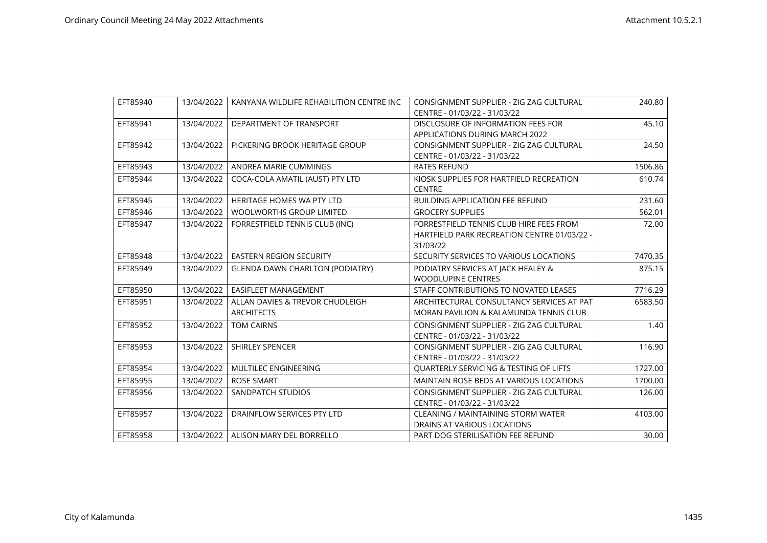| EFT85940 | 13/04/2022 | KANYANA WILDLIFE REHABILITION CENTRE INC             | CONSIGNMENT SUPPLIER - ZIG ZAG CULTURAL<br>CENTRE - 01/03/22 - 31/03/22                            | 240.80  |
|----------|------------|------------------------------------------------------|----------------------------------------------------------------------------------------------------|---------|
| EFT85941 | 13/04/2022 | DEPARTMENT OF TRANSPORT                              | DISCLOSURE OF INFORMATION FEES FOR<br>APPLICATIONS DURING MARCH 2022                               | 45.10   |
| EFT85942 | 13/04/2022 | PICKERING BROOK HERITAGE GROUP                       | CONSIGNMENT SUPPLIER - ZIG ZAG CULTURAL<br>CENTRE - 01/03/22 - 31/03/22                            | 24.50   |
| EFT85943 | 13/04/2022 | ANDREA MARIE CUMMINGS                                | <b>RATES REFUND</b>                                                                                | 1506.86 |
| EFT85944 | 13/04/2022 | COCA-COLA AMATIL (AUST) PTY LTD                      | KIOSK SUPPLIES FOR HARTFIELD RECREATION<br><b>CENTRE</b>                                           | 610.74  |
| EFT85945 | 13/04/2022 | <b>HERITAGE HOMES WA PTY LTD</b>                     | <b>BUILDING APPLICATION FEE REFUND</b>                                                             | 231.60  |
| EFT85946 | 13/04/2022 | <b>WOOLWORTHS GROUP LIMITED</b>                      | <b>GROCERY SUPPLIES</b>                                                                            | 562.01  |
| EFT85947 | 13/04/2022 | FORRESTFIELD TENNIS CLUB (INC)                       | FORRESTFIELD TENNIS CLUB HIRE FEES FROM<br>HARTFIELD PARK RECREATION CENTRE 01/03/22 -<br>31/03/22 | 72.00   |
| EFT85948 | 13/04/2022 | EASTERN REGION SECURITY                              | SECURITY SERVICES TO VARIOUS LOCATIONS                                                             | 7470.35 |
| EFT85949 | 13/04/2022 | <b>GLENDA DAWN CHARLTON (PODIATRY)</b>               | PODIATRY SERVICES AT JACK HEALEY &<br><b>WOODLUPINE CENTRES</b>                                    | 875.15  |
| EFT85950 | 13/04/2022 | <b>EASIFLEET MANAGEMENT</b>                          | STAFF CONTRIBUTIONS TO NOVATED LEASES                                                              | 7716.29 |
| EFT85951 | 13/04/2022 | ALLAN DAVIES & TREVOR CHUDLEIGH<br><b>ARCHITECTS</b> | ARCHITECTURAL CONSULTANCY SERVICES AT PAT<br>MORAN PAVILION & KALAMUNDA TENNIS CLUB                | 6583.50 |
| EFT85952 | 13/04/2022 | <b>TOM CAIRNS</b>                                    | CONSIGNMENT SUPPLIER - ZIG ZAG CULTURAL<br>CENTRE - 01/03/22 - 31/03/22                            | 1.40    |
| EFT85953 | 13/04/2022 | <b>SHIRLEY SPENCER</b>                               | CONSIGNMENT SUPPLIER - ZIG ZAG CULTURAL<br>CENTRE - 01/03/22 - 31/03/22                            | 116.90  |
| EFT85954 | 13/04/2022 | MULTILEC ENGINEERING                                 | QUARTERLY SERVICING & TESTING OF LIFTS                                                             | 1727.00 |
| EFT85955 | 13/04/2022 | <b>ROSE SMART</b>                                    | MAINTAIN ROSE BEDS AT VARIOUS LOCATIONS                                                            | 1700.00 |
| EFT85956 | 13/04/2022 | SANDPATCH STUDIOS                                    | CONSIGNMENT SUPPLIER - ZIG ZAG CULTURAL<br>CENTRE - 01/03/22 - 31/03/22                            | 126.00  |
| EFT85957 | 13/04/2022 | DRAINFLOW SERVICES PTY LTD                           | <b>CLEANING / MAINTAINING STORM WATER</b><br>DRAINS AT VARIOUS LOCATIONS                           | 4103.00 |
| EFT85958 | 13/04/2022 | ALISON MARY DEL BORRELLO                             | PART DOG STERILISATION FEE REFUND                                                                  | 30.00   |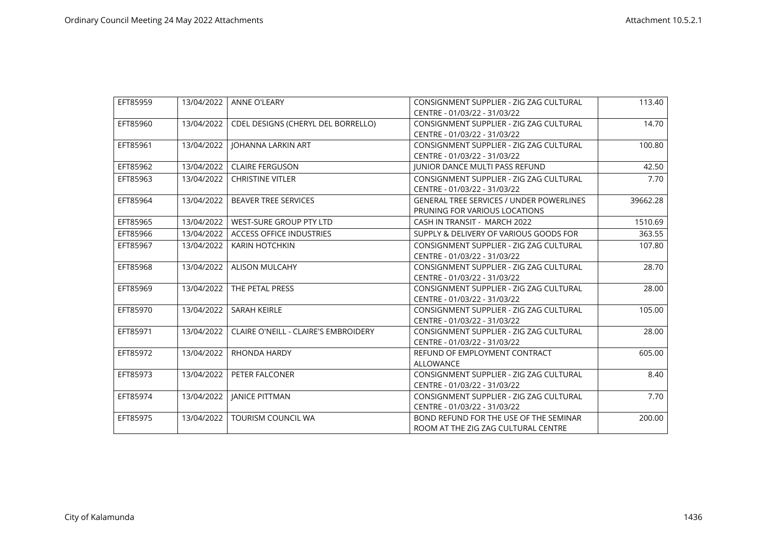| EFT85959 | 13/04/2022 | <b>ANNE O'LEARY</b>                         | CONSIGNMENT SUPPLIER - ZIG ZAG CULTURAL         | 113.40   |
|----------|------------|---------------------------------------------|-------------------------------------------------|----------|
|          |            |                                             | CENTRE - 01/03/22 - 31/03/22                    |          |
| EFT85960 | 13/04/2022 | CDEL DESIGNS (CHERYL DEL BORRELLO)          | CONSIGNMENT SUPPLIER - ZIG ZAG CULTURAL         | 14.70    |
|          |            |                                             | CENTRE - 01/03/22 - 31/03/22                    |          |
| EFT85961 | 13/04/2022 | JOHANNA LARKIN ART                          | CONSIGNMENT SUPPLIER - ZIG ZAG CULTURAL         | 100.80   |
|          |            |                                             | CENTRE - 01/03/22 - 31/03/22                    |          |
| EFT85962 | 13/04/2022 | <b>CLAIRE FERGUSON</b>                      | <b>JUNIOR DANCE MULTI PASS REFUND</b>           | 42.50    |
| EFT85963 | 13/04/2022 | <b>CHRISTINE VITLER</b>                     | CONSIGNMENT SUPPLIER - ZIG ZAG CULTURAL         | 7.70     |
|          |            |                                             | CENTRE - 01/03/22 - 31/03/22                    |          |
| EFT85964 | 13/04/2022 | <b>BEAVER TREE SERVICES</b>                 | <b>GENERAL TREE SERVICES / UNDER POWERLINES</b> | 39662.28 |
|          |            |                                             | PRUNING FOR VARIOUS LOCATIONS                   |          |
| EFT85965 | 13/04/2022 | WEST-SURE GROUP PTY LTD                     | CASH IN TRANSIT - MARCH 2022                    | 1510.69  |
| EFT85966 | 13/04/2022 | <b>ACCESS OFFICE INDUSTRIES</b>             | SUPPLY & DELIVERY OF VARIOUS GOODS FOR          | 363.55   |
| EFT85967 | 13/04/2022 | <b>KARIN HOTCHKIN</b>                       | CONSIGNMENT SUPPLIER - ZIG ZAG CULTURAL         | 107.80   |
|          |            |                                             | CENTRE - 01/03/22 - 31/03/22                    |          |
| EFT85968 | 13/04/2022 | <b>ALISON MULCAHY</b>                       | CONSIGNMENT SUPPLIER - ZIG ZAG CULTURAL         | 28.70    |
|          |            |                                             | CENTRE - 01/03/22 - 31/03/22                    |          |
| EFT85969 | 13/04/2022 | THE PETAL PRESS                             | CONSIGNMENT SUPPLIER - ZIG ZAG CULTURAL         | 28.00    |
|          |            |                                             | CENTRE - 01/03/22 - 31/03/22                    |          |
| EFT85970 | 13/04/2022 | <b>SARAH KEIRLE</b>                         | CONSIGNMENT SUPPLIER - ZIG ZAG CULTURAL         | 105.00   |
|          |            |                                             | CENTRE - 01/03/22 - 31/03/22                    |          |
| EFT85971 | 13/04/2022 | <b>CLAIRE O'NEILL - CLAIRE'S EMBROIDERY</b> | CONSIGNMENT SUPPLIER - ZIG ZAG CULTURAL         | 28.00    |
|          |            |                                             | CENTRE - 01/03/22 - 31/03/22                    |          |
| EFT85972 | 13/04/2022 | <b>RHONDA HARDY</b>                         | REFUND OF EMPLOYMENT CONTRACT                   | 605.00   |
|          |            |                                             | <b>ALLOWANCE</b>                                |          |
| EFT85973 | 13/04/2022 | PETER FALCONER                              | CONSIGNMENT SUPPLIER - ZIG ZAG CULTURAL         | 8.40     |
|          |            |                                             | CENTRE - 01/03/22 - 31/03/22                    |          |
| EFT85974 | 13/04/2022 | <b>JANICE PITTMAN</b>                       | CONSIGNMENT SUPPLIER - ZIG ZAG CULTURAL         | 7.70     |
|          |            |                                             | CENTRE - 01/03/22 - 31/03/22                    |          |
| EFT85975 | 13/04/2022 | <b>TOURISM COUNCIL WA</b>                   | BOND REFUND FOR THE USE OF THE SEMINAR          | 200.00   |
|          |            |                                             | ROOM AT THE ZIG ZAG CULTURAL CENTRE             |          |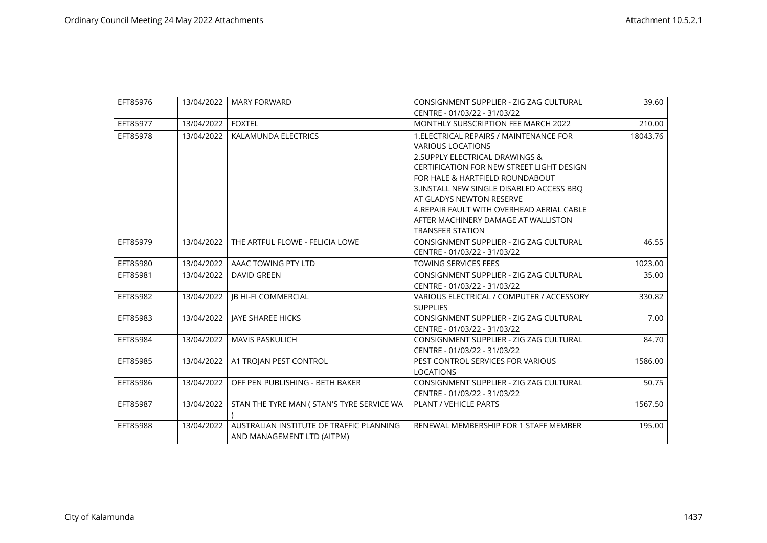| EFT85976 | 13/04/2022 | <b>MARY FORWARD</b>                        | CONSIGNMENT SUPPLIER - ZIG ZAG CULTURAL          | 39.60    |
|----------|------------|--------------------------------------------|--------------------------------------------------|----------|
|          |            |                                            | CENTRE - 01/03/22 - 31/03/22                     |          |
| EFT85977 | 13/04/2022 | <b>FOXTEL</b>                              | <b>MONTHLY SUBSCRIPTION FEE MARCH 2022</b>       | 210.00   |
| EFT85978 | 13/04/2022 | <b>KALAMUNDA ELECTRICS</b>                 | 1. ELECTRICAL REPAIRS / MAINTENANCE FOR          | 18043.76 |
|          |            |                                            | <b>VARIOUS LOCATIONS</b>                         |          |
|          |            |                                            | 2. SUPPLY ELECTRICAL DRAWINGS &                  |          |
|          |            |                                            | <b>CERTIFICATION FOR NEW STREET LIGHT DESIGN</b> |          |
|          |            |                                            | FOR HALE & HARTFIELD ROUNDABOUT                  |          |
|          |            |                                            | 3. INSTALL NEW SINGLE DISABLED ACCESS BBO        |          |
|          |            |                                            | AT GLADYS NEWTON RESERVE                         |          |
|          |            |                                            | 4. REPAIR FAULT WITH OVERHEAD AERIAL CABLE       |          |
|          |            |                                            | AFTER MACHINERY DAMAGE AT WALLISTON              |          |
|          |            |                                            | <b>TRANSFER STATION</b>                          |          |
| EFT85979 | 13/04/2022 | THE ARTFUL FLOWE - FELICIA LOWE            | CONSIGNMENT SUPPLIER - ZIG ZAG CULTURAL          | 46.55    |
|          |            |                                            | CENTRE - 01/03/22 - 31/03/22                     |          |
| EFT85980 | 13/04/2022 | AAAC TOWING PTY LTD                        | <b>TOWING SERVICES FEES</b>                      | 1023.00  |
| EFT85981 | 13/04/2022 | <b>DAVID GREEN</b>                         | CONSIGNMENT SUPPLIER - ZIG ZAG CULTURAL          | 35.00    |
|          |            |                                            | CENTRE - 01/03/22 - 31/03/22                     |          |
| EFT85982 | 13/04/2022 | <b>IB HI-FI COMMERCIAL</b>                 | VARIOUS ELECTRICAL / COMPUTER / ACCESSORY        | 330.82   |
|          |            |                                            | <b>SUPPLIES</b>                                  |          |
| EFT85983 | 13/04/2022 | <b>IAYE SHAREE HICKS</b>                   | CONSIGNMENT SUPPLIER - ZIG ZAG CULTURAL          | 7.00     |
|          |            |                                            | CENTRE - 01/03/22 - 31/03/22                     |          |
| EFT85984 | 13/04/2022 | <b>MAVIS PASKULICH</b>                     | CONSIGNMENT SUPPLIER - ZIG ZAG CULTURAL          | 84.70    |
|          |            |                                            | CENTRE - 01/03/22 - 31/03/22                     |          |
| EFT85985 | 13/04/2022 | A1 TROJAN PEST CONTROL                     | PEST CONTROL SERVICES FOR VARIOUS                | 1586.00  |
|          |            |                                            | <b>LOCATIONS</b>                                 |          |
| EFT85986 | 13/04/2022 | OFF PEN PUBLISHING - BETH BAKER            | CONSIGNMENT SUPPLIER - ZIG ZAG CULTURAL          | 50.75    |
|          |            |                                            | CENTRE - 01/03/22 - 31/03/22                     |          |
| EFT85987 | 13/04/2022 | STAN THE TYRE MAN ( STAN'S TYRE SERVICE WA | <b>PLANT / VEHICLE PARTS</b>                     | 1567.50  |
|          |            |                                            |                                                  |          |
| EFT85988 | 13/04/2022 | AUSTRALIAN INSTITUTE OF TRAFFIC PLANNING   | RENEWAL MEMBERSHIP FOR 1 STAFF MEMBER            | 195.00   |
|          |            | AND MANAGEMENT LTD (AITPM)                 |                                                  |          |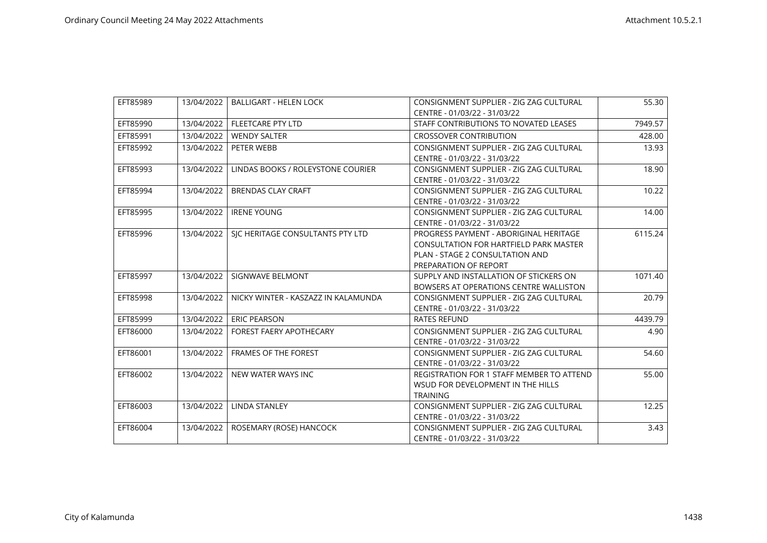| EFT85989 | 13/04/2022 | <b>BALLIGART - HELEN LOCK</b>       | CONSIGNMENT SUPPLIER - ZIG ZAG CULTURAL       | 55.30   |
|----------|------------|-------------------------------------|-----------------------------------------------|---------|
|          |            |                                     | CENTRE - 01/03/22 - 31/03/22                  |         |
| EFT85990 | 13/04/2022 | <b>FLEETCARE PTY LTD</b>            | STAFF CONTRIBUTIONS TO NOVATED LEASES         | 7949.57 |
| EFT85991 | 13/04/2022 | <b>WENDY SALTER</b>                 | <b>CROSSOVER CONTRIBUTION</b>                 | 428.00  |
| EFT85992 | 13/04/2022 | PETER WEBB                          | CONSIGNMENT SUPPLIER - ZIG ZAG CULTURAL       | 13.93   |
|          |            |                                     | CENTRE - 01/03/22 - 31/03/22                  |         |
| EFT85993 | 13/04/2022 | LINDAS BOOKS / ROLEYSTONE COURIER   | CONSIGNMENT SUPPLIER - ZIG ZAG CULTURAL       | 18.90   |
|          |            |                                     | CENTRE - 01/03/22 - 31/03/22                  |         |
| EFT85994 | 13/04/2022 | <b>BRENDAS CLAY CRAFT</b>           | CONSIGNMENT SUPPLIER - ZIG ZAG CULTURAL       | 10.22   |
|          |            |                                     | CENTRE - 01/03/22 - 31/03/22                  |         |
| EFT85995 | 13/04/2022 | <b>IRENE YOUNG</b>                  | CONSIGNMENT SUPPLIER - ZIG ZAG CULTURAL       | 14.00   |
|          |            |                                     | CENTRE - 01/03/22 - 31/03/22                  |         |
| EFT85996 | 13/04/2022 | SIC HERITAGE CONSULTANTS PTY LTD    | PROGRESS PAYMENT - ABORIGINAL HERITAGE        | 6115.24 |
|          |            |                                     | <b>CONSULTATION FOR HARTFIELD PARK MASTER</b> |         |
|          |            |                                     | PLAN - STAGE 2 CONSULTATION AND               |         |
|          |            |                                     | PREPARATION OF REPORT                         |         |
| EFT85997 | 13/04/2022 | SIGNWAVE BELMONT                    | SUPPLY AND INSTALLATION OF STICKERS ON        | 1071.40 |
|          |            |                                     | BOWSERS AT OPERATIONS CENTRE WALLISTON        |         |
| EFT85998 | 13/04/2022 | NICKY WINTER - KASZAZZ IN KALAMUNDA | CONSIGNMENT SUPPLIER - ZIG ZAG CULTURAL       | 20.79   |
|          |            |                                     | CENTRE - 01/03/22 - 31/03/22                  |         |
| EFT85999 | 13/04/2022 | <b>ERIC PEARSON</b>                 | <b>RATES REFUND</b>                           | 4439.79 |
| EFT86000 | 13/04/2022 | <b>FOREST FAERY APOTHECARY</b>      | CONSIGNMENT SUPPLIER - ZIG ZAG CULTURAL       | 4.90    |
|          |            |                                     | CENTRE - 01/03/22 - 31/03/22                  |         |
| EFT86001 | 13/04/2022 | <b>FRAMES OF THE FOREST</b>         | CONSIGNMENT SUPPLIER - ZIG ZAG CULTURAL       | 54.60   |
|          |            |                                     | CENTRE - 01/03/22 - 31/03/22                  |         |
| EFT86002 | 13/04/2022 | NEW WATER WAYS INC                  | REGISTRATION FOR 1 STAFF MEMBER TO ATTEND     | 55.00   |
|          |            |                                     | WSUD FOR DEVELOPMENT IN THE HILLS             |         |
|          |            |                                     | <b>TRAINING</b>                               |         |
| EFT86003 | 13/04/2022 | <b>LINDA STANLEY</b>                | CONSIGNMENT SUPPLIER - ZIG ZAG CULTURAL       | 12.25   |
|          |            |                                     | CENTRE - 01/03/22 - 31/03/22                  |         |
| EFT86004 | 13/04/2022 | ROSEMARY (ROSE) HANCOCK             | CONSIGNMENT SUPPLIER - ZIG ZAG CULTURAL       | 3.43    |
|          |            |                                     | CENTRE - 01/03/22 - 31/03/22                  |         |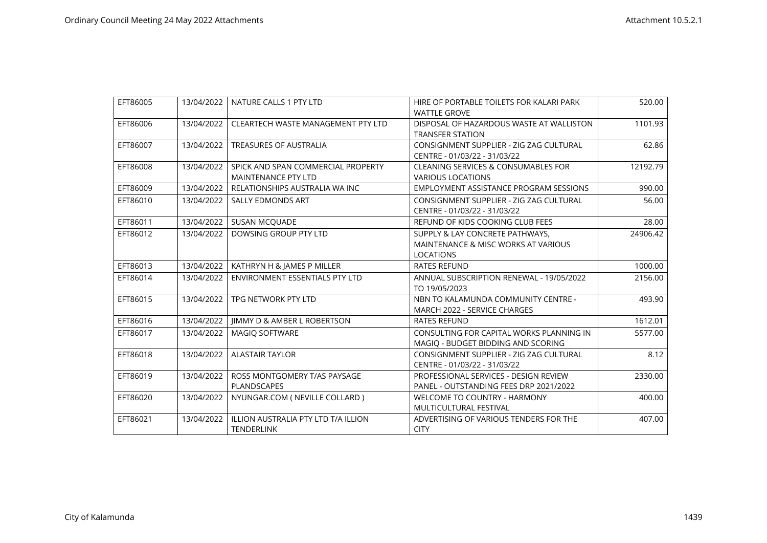| EFT86005 | 13/04/2022 | NATURE CALLS 1 PTY LTD                    | HIRE OF PORTABLE TOILETS FOR KALARI PARK       | 520.00   |
|----------|------------|-------------------------------------------|------------------------------------------------|----------|
|          |            |                                           | <b>WATTLE GROVE</b>                            |          |
| EFT86006 | 13/04/2022 | <b>CLEARTECH WASTE MANAGEMENT PTY LTD</b> | DISPOSAL OF HAZARDOUS WASTE AT WALLISTON       | 1101.93  |
|          |            |                                           | <b>TRANSFER STATION</b>                        |          |
| EFT86007 | 13/04/2022 | <b>TREASURES OF AUSTRALIA</b>             | CONSIGNMENT SUPPLIER - ZIG ZAG CULTURAL        | 62.86    |
|          |            |                                           | CENTRE - 01/03/22 - 31/03/22                   |          |
| EFT86008 | 13/04/2022 | SPICK AND SPAN COMMERCIAL PROPERTY        | <b>CLEANING SERVICES &amp; CONSUMABLES FOR</b> | 12192.79 |
|          |            | <b>MAINTENANCE PTY LTD</b>                | <b>VARIOUS LOCATIONS</b>                       |          |
| EFT86009 | 13/04/2022 | RELATIONSHIPS AUSTRALIA WA INC            | EMPLOYMENT ASSISTANCE PROGRAM SESSIONS         | 990.00   |
| EFT86010 | 13/04/2022 | <b>SALLY EDMONDS ART</b>                  | CONSIGNMENT SUPPLIER - ZIG ZAG CULTURAL        | 56.00    |
|          |            |                                           | CENTRE - 01/03/22 - 31/03/22                   |          |
| EFT86011 | 13/04/2022 | SUSAN MCQUADE                             | REFUND OF KIDS COOKING CLUB FEES               | 28.00    |
| EFT86012 | 13/04/2022 | DOWSING GROUP PTY LTD                     | SUPPLY & LAY CONCRETE PATHWAYS.                | 24906.42 |
|          |            |                                           | MAINTENANCE & MISC WORKS AT VARIOUS            |          |
|          |            |                                           | <b>LOCATIONS</b>                               |          |
| EFT86013 | 13/04/2022 | KATHRYN H & JAMES P MILLER                | <b>RATES REFUND</b>                            | 1000.00  |
| EFT86014 | 13/04/2022 | <b>ENVIRONMENT ESSENTIALS PTY LTD</b>     | ANNUAL SUBSCRIPTION RENEWAL - 19/05/2022       | 2156.00  |
|          |            |                                           | TO 19/05/2023                                  |          |
| EFT86015 | 13/04/2022 | TPG NETWORK PTY LTD                       | NBN TO KALAMUNDA COMMUNITY CENTRE -            | 493.90   |
|          |            |                                           | MARCH 2022 - SERVICE CHARGES                   |          |
| EFT86016 | 13/04/2022 | <b>JIMMY D &amp; AMBER L ROBERTSON</b>    | <b>RATES REFUND</b>                            | 1612.01  |
| EFT86017 | 13/04/2022 | <b>MAGIO SOFTWARE</b>                     | CONSULTING FOR CAPITAL WORKS PLANNING IN       | 5577.00  |
|          |            |                                           | MAGIQ - BUDGET BIDDING AND SCORING             |          |
| EFT86018 | 13/04/2022 | <b>ALASTAIR TAYLOR</b>                    | CONSIGNMENT SUPPLIER - ZIG ZAG CULTURAL        | 8.12     |
|          |            |                                           | CENTRE - 01/03/22 - 31/03/22                   |          |
| EFT86019 | 13/04/2022 | ROSS MONTGOMERY T/AS PAYSAGE              | PROFESSIONAL SERVICES - DESIGN REVIEW          | 2330.00  |
|          |            | PLANDSCAPES                               | PANEL - OUTSTANDING FEES DRP 2021/2022         |          |
| EFT86020 | 13/04/2022 | NYUNGAR.COM ( NEVILLE COLLARD )           | <b>WELCOME TO COUNTRY - HARMONY</b>            | 400.00   |
|          |            |                                           | MULTICULTURAL FESTIVAL                         |          |
| EFT86021 | 13/04/2022 | ILLION AUSTRALIA PTY LTD T/A ILLION       | ADVERTISING OF VARIOUS TENDERS FOR THE         | 407.00   |
|          |            | <b>TENDERLINK</b>                         | <b>CITY</b>                                    |          |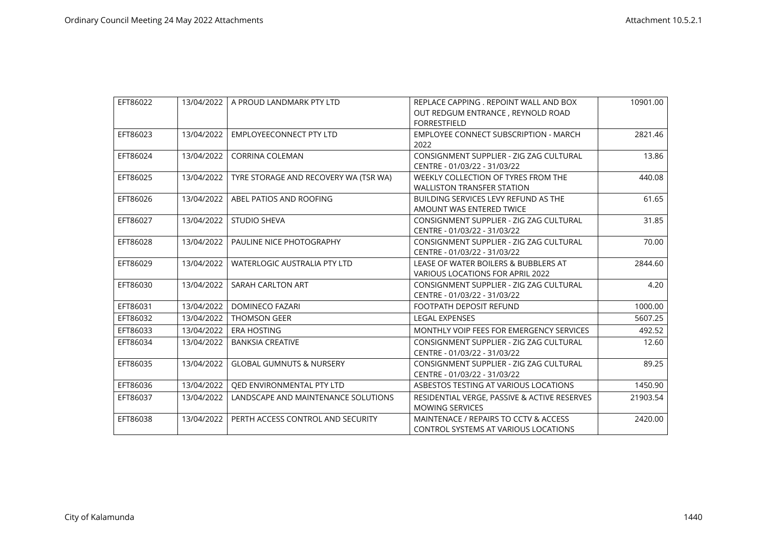| EFT86022 |            | 13/04/2022   A PROUD LANDMARK PTY LTD | REPLACE CAPPING . REPOINT WALL AND BOX<br>OUT REDGUM ENTRANCE, REYNOLD ROAD | 10901.00 |
|----------|------------|---------------------------------------|-----------------------------------------------------------------------------|----------|
|          |            |                                       | <b>FORRESTFIELD</b>                                                         |          |
| EFT86023 | 13/04/2022 | <b>EMPLOYEECONNECT PTY LTD</b>        | <b>EMPLOYEE CONNECT SUBSCRIPTION - MARCH</b>                                | 2821.46  |
|          |            |                                       | 2022                                                                        |          |
| EFT86024 | 13/04/2022 | <b>CORRINA COLEMAN</b>                | CONSIGNMENT SUPPLIER - ZIG ZAG CULTURAL                                     | 13.86    |
|          |            |                                       | CENTRE - 01/03/22 - 31/03/22                                                |          |
| EFT86025 | 13/04/2022 | TYRE STORAGE AND RECOVERY WA (TSR WA) | WEEKLY COLLECTION OF TYRES FROM THE                                         | 440.08   |
|          |            |                                       | <b>WALLISTON TRANSFER STATION</b>                                           |          |
| EFT86026 | 13/04/2022 | ABEL PATIOS AND ROOFING               | BUILDING SERVICES LEVY REFUND AS THE                                        | 61.65    |
|          |            |                                       | AMOUNT WAS ENTERED TWICE                                                    |          |
| EFT86027 | 13/04/2022 | <b>STUDIO SHEVA</b>                   | CONSIGNMENT SUPPLIER - ZIG ZAG CULTURAL                                     | 31.85    |
|          |            |                                       | CENTRE - 01/03/22 - 31/03/22                                                |          |
| EFT86028 | 13/04/2022 | PAULINE NICE PHOTOGRAPHY              | CONSIGNMENT SUPPLIER - ZIG ZAG CULTURAL                                     | 70.00    |
|          |            |                                       | CENTRE - 01/03/22 - 31/03/22                                                |          |
| EFT86029 | 13/04/2022 | WATERLOGIC AUSTRALIA PTY LTD          | LEASE OF WATER BOILERS & BUBBLERS AT                                        | 2844.60  |
|          |            |                                       | <b>VARIOUS LOCATIONS FOR APRIL 2022</b>                                     |          |
| EFT86030 | 13/04/2022 | <b>SARAH CARLTON ART</b>              | CONSIGNMENT SUPPLIER - ZIG ZAG CULTURAL                                     | 4.20     |
|          |            |                                       | CENTRE - 01/03/22 - 31/03/22                                                |          |
| EFT86031 | 13/04/2022 | <b>DOMINECO FAZARI</b>                | <b>FOOTPATH DEPOSIT REFUND</b>                                              | 1000.00  |
| EFT86032 | 13/04/2022 | <b>THOMSON GEER</b>                   | <b>LEGAL EXPENSES</b>                                                       | 5607.25  |
| EFT86033 | 13/04/2022 | <b>ERA HOSTING</b>                    | MONTHLY VOIP FEES FOR EMERGENCY SERVICES                                    | 492.52   |
| EFT86034 | 13/04/2022 | <b>BANKSIA CREATIVE</b>               | CONSIGNMENT SUPPLIER - ZIG ZAG CULTURAL                                     | 12.60    |
|          |            |                                       | CENTRE - 01/03/22 - 31/03/22                                                |          |
| EFT86035 | 13/04/2022 | <b>GLOBAL GUMNUTS &amp; NURSERY</b>   | CONSIGNMENT SUPPLIER - ZIG ZAG CULTURAL                                     | 89.25    |
|          |            |                                       | CENTRE - 01/03/22 - 31/03/22                                                |          |
| EFT86036 | 13/04/2022 | QED ENVIRONMENTAL PTY LTD             | ASBESTOS TESTING AT VARIOUS LOCATIONS                                       | 1450.90  |
| EFT86037 | 13/04/2022 | LANDSCAPE AND MAINTENANCE SOLUTIONS   | RESIDENTIAL VERGE, PASSIVE & ACTIVE RESERVES                                | 21903.54 |
|          |            |                                       | <b>MOWING SERVICES</b>                                                      |          |
| EFT86038 | 13/04/2022 | PERTH ACCESS CONTROL AND SECURITY     | MAINTENACE / REPAIRS TO CCTV & ACCESS                                       | 2420.00  |
|          |            |                                       | <b>CONTROL SYSTEMS AT VARIOUS LOCATIONS</b>                                 |          |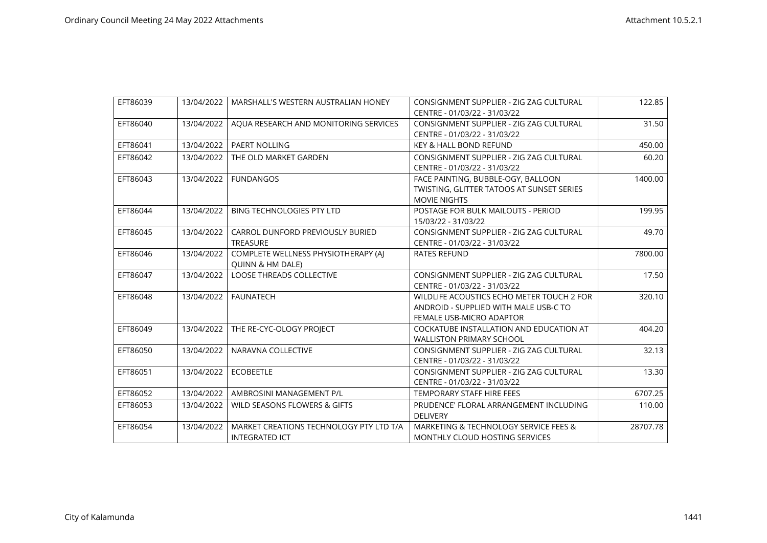| EFT86039 | 13/04/2022 | MARSHALL'S WESTERN AUSTRALIAN HONEY     | CONSIGNMENT SUPPLIER - ZIG ZAG CULTURAL          | 122.85   |
|----------|------------|-----------------------------------------|--------------------------------------------------|----------|
|          |            |                                         | CENTRE - 01/03/22 - 31/03/22                     |          |
| EFT86040 | 13/04/2022 | AQUA RESEARCH AND MONITORING SERVICES   | CONSIGNMENT SUPPLIER - ZIG ZAG CULTURAL          | 31.50    |
|          |            |                                         | CENTRE - 01/03/22 - 31/03/22                     |          |
| EFT86041 | 13/04/2022 | PAERT NOLLING                           | <b>KEY &amp; HALL BOND REFUND</b>                | 450.00   |
| EFT86042 | 13/04/2022 | THE OLD MARKET GARDEN                   | CONSIGNMENT SUPPLIER - ZIG ZAG CULTURAL          | 60.20    |
|          |            |                                         | CENTRE - 01/03/22 - 31/03/22                     |          |
| EFT86043 | 13/04/2022 | <b>FUNDANGOS</b>                        | FACE PAINTING, BUBBLE-OGY, BALLOON               | 1400.00  |
|          |            |                                         | <b>TWISTING, GLITTER TATOOS AT SUNSET SERIES</b> |          |
|          |            |                                         | <b>MOVIE NIGHTS</b>                              |          |
| EFT86044 | 13/04/2022 | <b>BING TECHNOLOGIES PTY LTD</b>        | POSTAGE FOR BULK MAILOUTS - PERIOD               | 199.95   |
|          |            |                                         | 15/03/22 - 31/03/22                              |          |
| EFT86045 | 13/04/2022 | CARROL DUNFORD PREVIOUSLY BURIED        | CONSIGNMENT SUPPLIER - ZIG ZAG CULTURAL          | 49.70    |
|          |            | <b>TREASURE</b>                         | CENTRE - 01/03/22 - 31/03/22                     |          |
| EFT86046 | 13/04/2022 | COMPLETE WELLNESS PHYSIOTHERAPY (A)     | <b>RATES REFUND</b>                              | 7800.00  |
|          |            | QUINN & HM DALE)                        |                                                  |          |
| EFT86047 | 13/04/2022 | <b>LOOSE THREADS COLLECTIVE</b>         | CONSIGNMENT SUPPLIER - ZIG ZAG CULTURAL          | 17.50    |
|          |            |                                         | CENTRE - 01/03/22 - 31/03/22                     |          |
| EFT86048 | 13/04/2022 | <b>FAUNATECH</b>                        | WILDLIFE ACOUSTICS ECHO METER TOUCH 2 FOR        | 320.10   |
|          |            |                                         | ANDROID - SUPPLIED WITH MALE USB-C TO            |          |
|          |            |                                         | FEMALE USB-MICRO ADAPTOR                         |          |
| EFT86049 | 13/04/2022 | THE RE-CYC-OLOGY PROJECT                | COCKATUBE INSTALLATION AND EDUCATION AT          | 404.20   |
|          |            |                                         | <b>WALLISTON PRIMARY SCHOOL</b>                  |          |
| EFT86050 | 13/04/2022 | NARAVNA COLLECTIVE                      | CONSIGNMENT SUPPLIER - ZIG ZAG CULTURAL          | 32.13    |
|          |            |                                         | CENTRE - 01/03/22 - 31/03/22                     |          |
| EFT86051 | 13/04/2022 | <b>ECOBEETLE</b>                        | CONSIGNMENT SUPPLIER - ZIG ZAG CULTURAL          | 13.30    |
|          |            |                                         | CENTRE - 01/03/22 - 31/03/22                     |          |
| EFT86052 | 13/04/2022 | AMBROSINI MANAGEMENT P/L                | <b>TEMPORARY STAFF HIRE FEES</b>                 | 6707.25  |
| EFT86053 | 13/04/2022 | WILD SEASONS FLOWERS & GIFTS            | PRUDENCE' FLORAL ARRANGEMENT INCLUDING           | 110.00   |
|          |            |                                         | <b>DELIVERY</b>                                  |          |
| EFT86054 | 13/04/2022 | MARKET CREATIONS TECHNOLOGY PTY LTD T/A | MARKETING & TECHNOLOGY SERVICE FEES &            | 28707.78 |
|          |            | <b>INTEGRATED ICT</b>                   | MONTHLY CLOUD HOSTING SERVICES                   |          |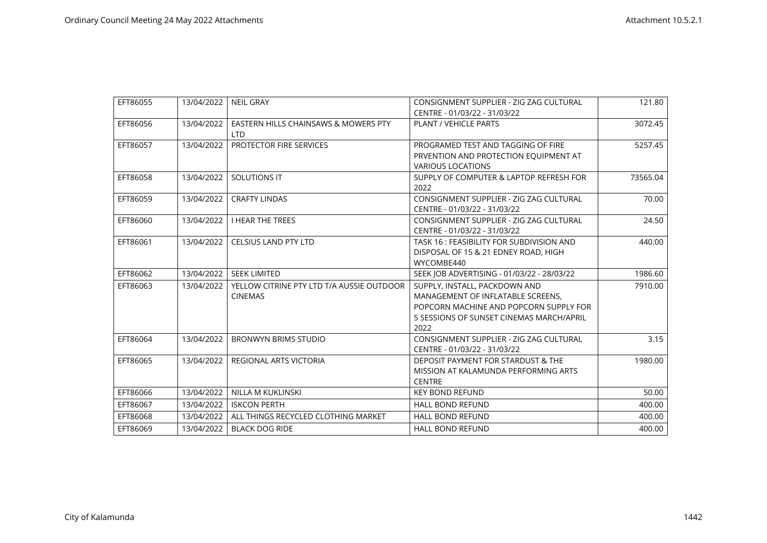| EFT86055 | 13/04/2022 | <b>NEIL GRAY</b>                                            | CONSIGNMENT SUPPLIER - ZIG ZAG CULTURAL                                                                                                                          | 121.80   |
|----------|------------|-------------------------------------------------------------|------------------------------------------------------------------------------------------------------------------------------------------------------------------|----------|
|          |            |                                                             | CENTRE - 01/03/22 - 31/03/22                                                                                                                                     |          |
| EFT86056 | 13/04/2022 | EASTERN HILLS CHAINSAWS & MOWERS PTY<br>LTD.                | <b>PLANT / VEHICLE PARTS</b>                                                                                                                                     | 3072.45  |
| EFT86057 | 13/04/2022 | PROTECTOR FIRE SERVICES                                     | PROGRAMED TEST AND TAGGING OF FIRE<br>PRVENTION AND PROTECTION EQUIPMENT AT<br><b>VARIOUS LOCATIONS</b>                                                          | 5257.45  |
| EFT86058 | 13/04/2022 | <b>SOLUTIONS IT</b>                                         | SUPPLY OF COMPUTER & LAPTOP REFRESH FOR<br>2022                                                                                                                  | 73565.04 |
| EFT86059 | 13/04/2022 | <b>CRAFTY LINDAS</b>                                        | CONSIGNMENT SUPPLIER - ZIG ZAG CULTURAL<br>CENTRE - 01/03/22 - 31/03/22                                                                                          | 70.00    |
| EFT86060 | 13/04/2022 | <b>I HEAR THE TREES</b>                                     | CONSIGNMENT SUPPLIER - ZIG ZAG CULTURAL<br>CENTRE - 01/03/22 - 31/03/22                                                                                          | 24.50    |
| EFT86061 | 13/04/2022 | <b>CELSIUS LAND PTY LTD</b>                                 | TASK 16: FEASIBILITY FOR SUBDIVISION AND<br>DISPOSAL OF 15 & 21 EDNEY ROAD, HIGH<br>WYCOMBE440                                                                   | 440.00   |
| EFT86062 | 13/04/2022 | <b>SEEK LIMITED</b>                                         | SEEK JOB ADVERTISING - 01/03/22 - 28/03/22                                                                                                                       | 1986.60  |
| EFT86063 | 13/04/2022 | YELLOW CITRINE PTY LTD T/A AUSSIE OUTDOOR<br><b>CINEMAS</b> | SUPPLY, INSTALL, PACKDOWN AND<br>MANAGEMENT OF INFLATABLE SCREENS.<br>POPCORN MACHINE AND POPCORN SUPPLY FOR<br>5 SESSIONS OF SUNSET CINEMAS MARCH/APRIL<br>2022 | 7910.00  |
| EFT86064 | 13/04/2022 | <b>BRONWYN BRIMS STUDIO</b>                                 | CONSIGNMENT SUPPLIER - ZIG ZAG CULTURAL<br>CENTRE - 01/03/22 - 31/03/22                                                                                          | 3.15     |
| EFT86065 | 13/04/2022 | REGIONAL ARTS VICTORIA                                      | DEPOSIT PAYMENT FOR STARDUST & THE<br>MISSION AT KALAMUNDA PERFORMING ARTS<br><b>CENTRE</b>                                                                      | 1980.00  |
| EFT86066 | 13/04/2022 | <b>NILLA M KUKLINSKI</b>                                    | <b>KEY BOND REFUND</b>                                                                                                                                           | 50.00    |
| EFT86067 | 13/04/2022 | <b>ISKCON PERTH</b>                                         | <b>HALL BOND REFUND</b>                                                                                                                                          | 400.00   |
| EFT86068 | 13/04/2022 | ALL THINGS RECYCLED CLOTHING MARKET                         | <b>HALL BOND REFUND</b>                                                                                                                                          | 400.00   |
| EFT86069 | 13/04/2022 | <b>BLACK DOG RIDE</b>                                       | <b>HALL BOND REFUND</b>                                                                                                                                          | 400.00   |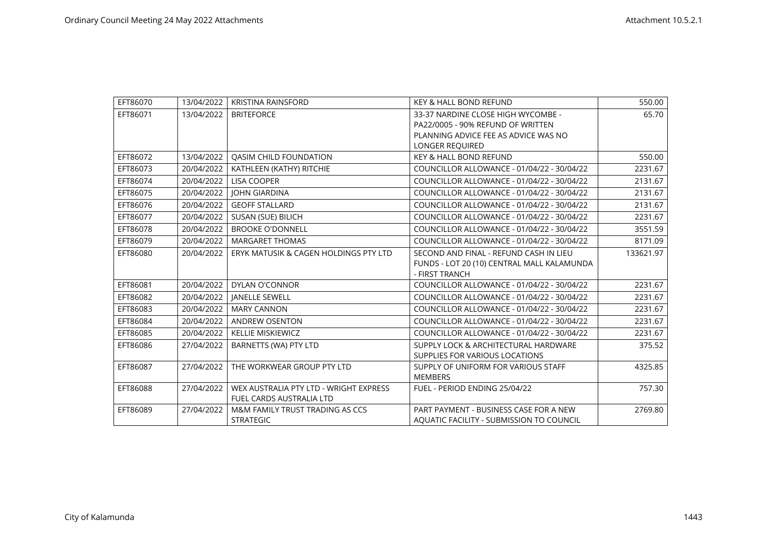| EFT86070 | 13/04/2022 | <b>KRISTINA RAINSFORD</b>              | <b>KEY &amp; HALL BOND REFUND</b>                            | 550.00    |
|----------|------------|----------------------------------------|--------------------------------------------------------------|-----------|
| EFT86071 | 13/04/2022 | <b>BRITEFORCE</b>                      | 33-37 NARDINE CLOSE HIGH WYCOMBE -                           | 65.70     |
|          |            |                                        | PA22/0005 - 90% REFUND OF WRITTEN                            |           |
|          |            |                                        | PLANNING ADVICE FEE AS ADVICE WAS NO                         |           |
|          |            |                                        | LONGER REQUIRED                                              |           |
| EFT86072 | 13/04/2022 | <b>OASIM CHILD FOUNDATION</b>          | <b>KEY &amp; HALL BOND REFUND</b>                            | 550.00    |
| EFT86073 | 20/04/2022 | KATHLEEN (KATHY) RITCHIE               | COUNCILLOR ALLOWANCE - 01/04/22 - 30/04/22                   | 2231.67   |
| EFT86074 | 20/04/2022 | <b>LISA COOPER</b>                     | COUNCILLOR ALLOWANCE - 01/04/22 - 30/04/22                   | 2131.67   |
| EFT86075 | 20/04/2022 | <b>JOHN GIARDINA</b>                   | COUNCILLOR ALLOWANCE - 01/04/22 - 30/04/22                   | 2131.67   |
| EFT86076 | 20/04/2022 | <b>GEOFF STALLARD</b>                  | COUNCILLOR ALLOWANCE - 01/04/22 - 30/04/22                   | 2131.67   |
| EFT86077 | 20/04/2022 | SUSAN (SUE) BILICH                     | COUNCILLOR ALLOWANCE - 01/04/22 - 30/04/22                   | 2231.67   |
| EFT86078 | 20/04/2022 | <b>BROOKE O'DONNELL</b>                | COUNCILLOR ALLOWANCE - 01/04/22 - 30/04/22                   | 3551.59   |
| EFT86079 | 20/04/2022 | <b>MARGARET THOMAS</b>                 | COUNCILLOR ALLOWANCE - 01/04/22 - 30/04/22                   | 8171.09   |
| EFT86080 | 20/04/2022 | ERYK MATUSIK & CAGEN HOLDINGS PTY LTD  | SECOND AND FINAL - REFUND CASH IN LIEU                       | 133621.97 |
|          |            |                                        | FUNDS - LOT 20 (10) CENTRAL MALL KALAMUNDA<br>- FIRST TRANCH |           |
| EFT86081 | 20/04/2022 | <b>DYLAN O'CONNOR</b>                  | COUNCILLOR ALLOWANCE - 01/04/22 - 30/04/22                   | 2231.67   |
| EFT86082 | 20/04/2022 | <b>JANELLE SEWELL</b>                  | COUNCILLOR ALLOWANCE - 01/04/22 - 30/04/22                   | 2231.67   |
| EFT86083 | 20/04/2022 | <b>MARY CANNON</b>                     | COUNCILLOR ALLOWANCE - 01/04/22 - 30/04/22                   | 2231.67   |
| EFT86084 | 20/04/2022 | ANDREW OSENTON                         | COUNCILLOR ALLOWANCE - 01/04/22 - 30/04/22                   | 2231.67   |
| EFT86085 | 20/04/2022 | <b>KELLIE MISKIEWICZ</b>               | COUNCILLOR ALLOWANCE - 01/04/22 - 30/04/22                   | 2231.67   |
| EFT86086 | 27/04/2022 | BARNETTS (WA) PTY LTD                  | SUPPLY LOCK & ARCHITECTURAL HARDWARE                         | 375.52    |
|          |            |                                        | SUPPLIES FOR VARIOUS LOCATIONS                               |           |
| EFT86087 | 27/04/2022 | THE WORKWEAR GROUP PTY LTD             | SUPPLY OF UNIFORM FOR VARIOUS STAFF                          | 4325.85   |
|          |            |                                        | <b>MEMBERS</b>                                               |           |
| EFT86088 | 27/04/2022 | WEX AUSTRALIA PTY LTD - WRIGHT EXPRESS | FUEL - PERIOD ENDING 25/04/22                                | 757.30    |
|          |            | FUEL CARDS AUSTRALIA LTD               |                                                              |           |
| EFT86089 | 27/04/2022 | M&M FAMILY TRUST TRADING AS CCS        | PART PAYMENT - BUSINESS CASE FOR A NEW                       | 2769.80   |
|          |            | <b>STRATEGIC</b>                       | AOUATIC FACILITY - SUBMISSION TO COUNCIL                     |           |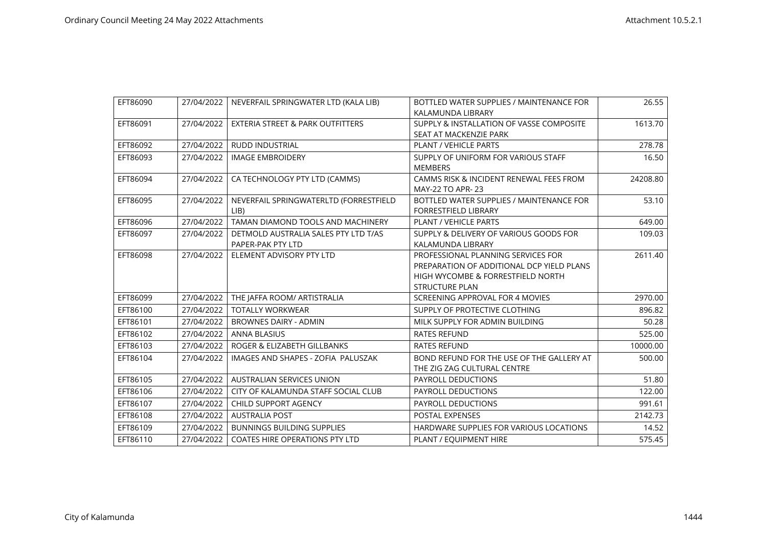| EFT86090 | 27/04/2022 | NEVERFAIL SPRINGWATER LTD (KALA LIB)        | BOTTLED WATER SUPPLIES / MAINTENANCE FOR  | 26.55    |
|----------|------------|---------------------------------------------|-------------------------------------------|----------|
|          |            |                                             | KALAMUNDA LIBRARY                         |          |
| EFT86091 | 27/04/2022 | <b>EXTERIA STREET &amp; PARK OUTFITTERS</b> | SUPPLY & INSTALLATION OF VASSE COMPOSITE  | 1613.70  |
|          |            |                                             | SEAT AT MACKENZIE PARK                    |          |
| EFT86092 | 27/04/2022 | <b>RUDD INDUSTRIAL</b>                      | <b>PLANT / VEHICLE PARTS</b>              | 278.78   |
| EFT86093 | 27/04/2022 | <b>IMAGE EMBROIDERY</b>                     | SUPPLY OF UNIFORM FOR VARIOUS STAFF       | 16.50    |
|          |            |                                             | <b>MEMBERS</b>                            |          |
| EFT86094 | 27/04/2022 | CA TECHNOLOGY PTY LTD (CAMMS)               | CAMMS RISK & INCIDENT RENEWAL FEES FROM   | 24208.80 |
|          |            |                                             | MAY-22 TO APR-23                          |          |
| EFT86095 | 27/04/2022 | NEVERFAIL SPRINGWATERLTD (FORRESTFIELD      | BOTTLED WATER SUPPLIES / MAINTENANCE FOR  | 53.10    |
|          |            | LIB                                         | <b>FORRESTFIELD LIBRARY</b>               |          |
| EFT86096 | 27/04/2022 | TAMAN DIAMOND TOOLS AND MACHINERY           | PLANT / VEHICLE PARTS                     | 649.00   |
| EFT86097 | 27/04/2022 | DETMOLD AUSTRALIA SALES PTY LTD T/AS        | SUPPLY & DELIVERY OF VARIOUS GOODS FOR    | 109.03   |
|          |            | PAPER-PAK PTY LTD                           | KALAMUNDA LIBRARY                         |          |
| EFT86098 | 27/04/2022 | ELEMENT ADVISORY PTY LTD                    | PROFESSIONAL PLANNING SERVICES FOR        | 2611.40  |
|          |            |                                             | PREPARATION OF ADDITIONAL DCP YIELD PLANS |          |
|          |            |                                             | HIGH WYCOMBE & FORRESTFIELD NORTH         |          |
|          |            |                                             | <b>STRUCTURE PLAN</b>                     |          |
| EFT86099 | 27/04/2022 | THE JAFFA ROOM/ ARTISTRALIA                 | SCREENING APPROVAL FOR 4 MOVIES           | 2970.00  |
| EFT86100 | 27/04/2022 | <b>TOTALLY WORKWEAR</b>                     | SUPPLY OF PROTECTIVE CLOTHING             | 896.82   |
| EFT86101 | 27/04/2022 | <b>BROWNES DAIRY - ADMIN</b>                | MILK SUPPLY FOR ADMIN BUILDING            | 50.28    |
| EFT86102 | 27/04/2022 | <b>ANNA BLASIUS</b>                         | <b>RATES REFUND</b>                       | 525.00   |
| EFT86103 | 27/04/2022 | ROGER & ELIZABETH GILLBANKS                 | <b>RATES REFUND</b>                       | 10000.00 |
| EFT86104 | 27/04/2022 | IMAGES AND SHAPES - ZOFIA PALUSZAK          | BOND REFUND FOR THE USE OF THE GALLERY AT | 500.00   |
|          |            |                                             | THE ZIG ZAG CULTURAL CENTRE               |          |
| EFT86105 | 27/04/2022 | <b>AUSTRALIAN SERVICES UNION</b>            | PAYROLL DEDUCTIONS                        | 51.80    |
| EFT86106 | 27/04/2022 | CITY OF KALAMUNDA STAFF SOCIAL CLUB         | <b>PAYROLL DEDUCTIONS</b>                 | 122.00   |
| EFT86107 | 27/04/2022 | CHILD SUPPORT AGENCY                        | PAYROLL DEDUCTIONS                        | 991.61   |
| EFT86108 | 27/04/2022 | <b>AUSTRALIA POST</b>                       | <b>POSTAL EXPENSES</b>                    | 2142.73  |
| EFT86109 | 27/04/2022 | <b>BUNNINGS BUILDING SUPPLIES</b>           | HARDWARE SUPPLIES FOR VARIOUS LOCATIONS   | 14.52    |
| EFT86110 | 27/04/2022 | <b>COATES HIRE OPERATIONS PTY LTD</b>       | PLANT / EQUIPMENT HIRE                    | 575.45   |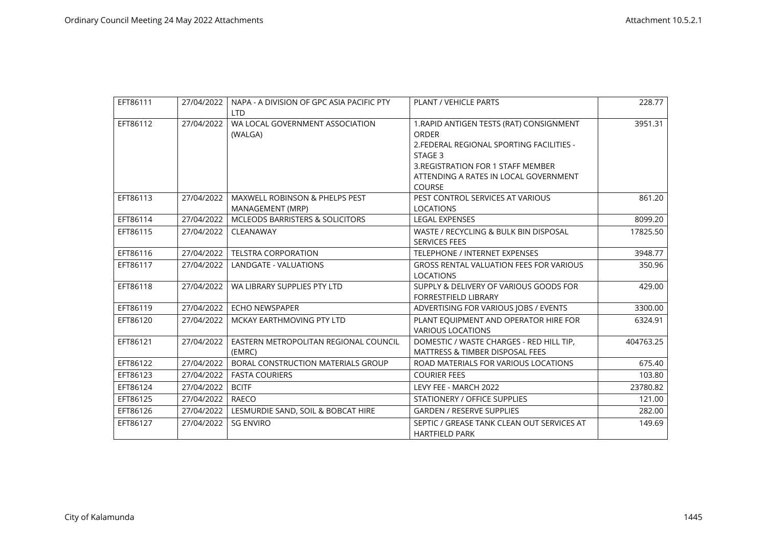| EFT86111 | 27/04/2022 | NAPA - A DIVISION OF GPC ASIA PACIFIC PTY<br><b>LTD</b> | <b>PLANT / VEHICLE PARTS</b>                                                                                                                                                                                     | 228.77    |
|----------|------------|---------------------------------------------------------|------------------------------------------------------------------------------------------------------------------------------------------------------------------------------------------------------------------|-----------|
| EFT86112 | 27/04/2022 | WA LOCAL GOVERNMENT ASSOCIATION<br>(WALGA)              | 1. RAPID ANTIGEN TESTS (RAT) CONSIGNMENT<br><b>ORDER</b><br>2. FEDERAL REGIONAL SPORTING FACILITIES -<br>STAGE 3<br>3. REGISTRATION FOR 1 STAFF MEMBER<br>ATTENDING A RATES IN LOCAL GOVERNMENT<br><b>COURSE</b> | 3951.31   |
| EFT86113 | 27/04/2022 | MAXWELL ROBINSON & PHELPS PEST<br>MANAGEMENT (MRP)      | PEST CONTROL SERVICES AT VARIOUS<br><b>LOCATIONS</b>                                                                                                                                                             | 861.20    |
| EFT86114 | 27/04/2022 | <b>MCLEODS BARRISTERS &amp; SOLICITORS</b>              | <b>LEGAL EXPENSES</b>                                                                                                                                                                                            | 8099.20   |
| EFT86115 | 27/04/2022 | CLEANAWAY                                               | WASTE / RECYCLING & BULK BIN DISPOSAL<br><b>SERVICES FEES</b>                                                                                                                                                    | 17825.50  |
| EFT86116 | 27/04/2022 | <b>TELSTRA CORPORATION</b>                              | TELEPHONE / INTERNET EXPENSES                                                                                                                                                                                    | 3948.77   |
| EFT86117 | 27/04/2022 | LANDGATE - VALUATIONS                                   | <b>GROSS RENTAL VALUATION FEES FOR VARIOUS</b><br><b>LOCATIONS</b>                                                                                                                                               | 350.96    |
| EFT86118 | 27/04/2022 | WA LIBRARY SUPPLIES PTY LTD                             | SUPPLY & DELIVERY OF VARIOUS GOODS FOR<br><b>FORRESTFIELD LIBRARY</b>                                                                                                                                            | 429.00    |
| EFT86119 | 27/04/2022 | <b>ECHO NEWSPAPER</b>                                   | ADVERTISING FOR VARIOUS JOBS / EVENTS                                                                                                                                                                            | 3300.00   |
| EFT86120 | 27/04/2022 | MCKAY EARTHMOVING PTY LTD                               | PLANT EQUIPMENT AND OPERATOR HIRE FOR<br><b>VARIOUS LOCATIONS</b>                                                                                                                                                | 6324.91   |
| EFT86121 | 27/04/2022 | EASTERN METROPOLITAN REGIONAL COUNCIL<br>(EMRC)         | DOMESTIC / WASTE CHARGES - RED HILL TIP,<br><b>MATTRESS &amp; TIMBER DISPOSAL FEES</b>                                                                                                                           | 404763.25 |
| EFT86122 | 27/04/2022 | BORAL CONSTRUCTION MATERIALS GROUP                      | ROAD MATERIALS FOR VARIOUS LOCATIONS                                                                                                                                                                             | 675.40    |
| EFT86123 | 27/04/2022 | <b>FASTA COURIERS</b>                                   | <b>COURIER FEES</b>                                                                                                                                                                                              | 103.80    |
| EFT86124 | 27/04/2022 | <b>BCITF</b>                                            | LEVY FEE - MARCH 2022                                                                                                                                                                                            | 23780.82  |
| EFT86125 | 27/04/2022 | RAECO                                                   | STATIONERY / OFFICE SUPPLIES                                                                                                                                                                                     | 121.00    |
| EFT86126 | 27/04/2022 | LESMURDIE SAND, SOIL & BOBCAT HIRE                      | <b>GARDEN / RESERVE SUPPLIES</b>                                                                                                                                                                                 | 282.00    |
| EFT86127 | 27/04/2022 | <b>SG ENVIRO</b>                                        | SEPTIC / GREASE TANK CLEAN OUT SERVICES AT<br><b>HARTFIELD PARK</b>                                                                                                                                              | 149.69    |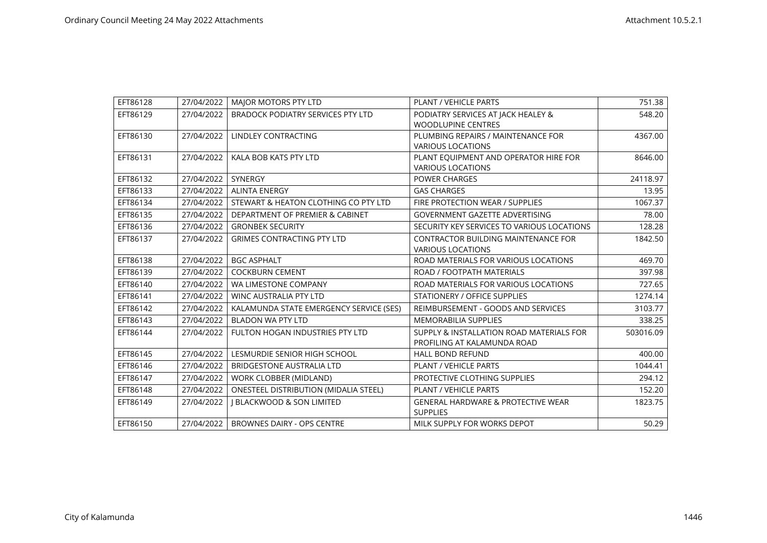| EFT86128 | 27/04/2022 | MAJOR MOTORS PTY LTD                         | PLANT / VEHICLE PARTS                         | 751.38    |
|----------|------------|----------------------------------------------|-----------------------------------------------|-----------|
| EFT86129 | 27/04/2022 | <b>BRADOCK PODIATRY SERVICES PTY LTD</b>     | PODIATRY SERVICES AT JACK HEALEY &            | 548.20    |
|          |            |                                              | <b>WOODLUPINE CENTRES</b>                     |           |
| EFT86130 | 27/04/2022 | LINDLEY CONTRACTING                          | PLUMBING REPAIRS / MAINTENANCE FOR            | 4367.00   |
|          |            |                                              | <b>VARIOUS LOCATIONS</b>                      |           |
| EFT86131 | 27/04/2022 | KALA BOB KATS PTY LTD                        | PLANT EQUIPMENT AND OPERATOR HIRE FOR         | 8646.00   |
|          |            |                                              | <b>VARIOUS LOCATIONS</b>                      |           |
| EFT86132 | 27/04/2022 | <b>SYNERGY</b>                               | POWER CHARGES                                 | 24118.97  |
| EFT86133 | 27/04/2022 | <b>ALINTA ENERGY</b>                         | <b>GAS CHARGES</b>                            | 13.95     |
| EFT86134 | 27/04/2022 | STEWART & HEATON CLOTHING CO PTY LTD         | FIRE PROTECTION WEAR / SUPPLIES               | 1067.37   |
| EFT86135 | 27/04/2022 | DEPARTMENT OF PREMIER & CABINET              | <b>GOVERNMENT GAZETTE ADVERTISING</b>         | 78.00     |
| EFT86136 | 27/04/2022 | <b>GRONBEK SECURITY</b>                      | SECURITY KEY SERVICES TO VARIOUS LOCATIONS    | 128.28    |
| EFT86137 | 27/04/2022 | <b>GRIMES CONTRACTING PTY LTD</b>            | <b>CONTRACTOR BUILDING MAINTENANCE FOR</b>    | 1842.50   |
|          |            |                                              | <b>VARIOUS LOCATIONS</b>                      |           |
| EFT86138 | 27/04/2022 | <b>BGC ASPHALT</b>                           | ROAD MATERIALS FOR VARIOUS LOCATIONS          | 469.70    |
| EFT86139 | 27/04/2022 | <b>COCKBURN CEMENT</b>                       | ROAD / FOOTPATH MATERIALS                     | 397.98    |
| EFT86140 | 27/04/2022 | WA LIMESTONE COMPANY                         | ROAD MATERIALS FOR VARIOUS LOCATIONS          | 727.65    |
| EFT86141 | 27/04/2022 | WINC AUSTRALIA PTY LTD                       | STATIONERY / OFFICE SUPPLIES                  | 1274.14   |
| EFT86142 | 27/04/2022 | KALAMUNDA STATE EMERGENCY SERVICE (SES)      | REIMBURSEMENT - GOODS AND SERVICES            | 3103.77   |
| EFT86143 | 27/04/2022 | <b>BLADON WA PTY LTD</b>                     | <b>MEMORABILIA SUPPLIES</b>                   | 338.25    |
| EFT86144 | 27/04/2022 | FULTON HOGAN INDUSTRIES PTY LTD              | SUPPLY & INSTALLATION ROAD MATERIALS FOR      | 503016.09 |
|          |            |                                              | PROFILING AT KALAMUNDA ROAD                   |           |
| EFT86145 | 27/04/2022 | LESMURDIE SENIOR HIGH SCHOOL                 | <b>HALL BOND REFUND</b>                       | 400.00    |
| EFT86146 | 27/04/2022 | <b>BRIDGESTONE AUSTRALIA LTD</b>             | PLANT / VEHICLE PARTS                         | 1044.41   |
| EFT86147 | 27/04/2022 | WORK CLOBBER (MIDLAND)                       | PROTECTIVE CLOTHING SUPPLIES                  | 294.12    |
| EFT86148 | 27/04/2022 | <b>ONESTEEL DISTRIBUTION (MIDALIA STEEL)</b> | <b>PLANT / VEHICLE PARTS</b>                  | 152.20    |
| EFT86149 | 27/04/2022 | <b>J BLACKWOOD &amp; SON LIMITED</b>         | <b>GENERAL HARDWARE &amp; PROTECTIVE WEAR</b> | 1823.75   |
|          |            |                                              | <b>SUPPLIES</b>                               |           |
| EFT86150 | 27/04/2022 | <b>BROWNES DAIRY - OPS CENTRE</b>            | MILK SUPPLY FOR WORKS DEPOT                   | 50.29     |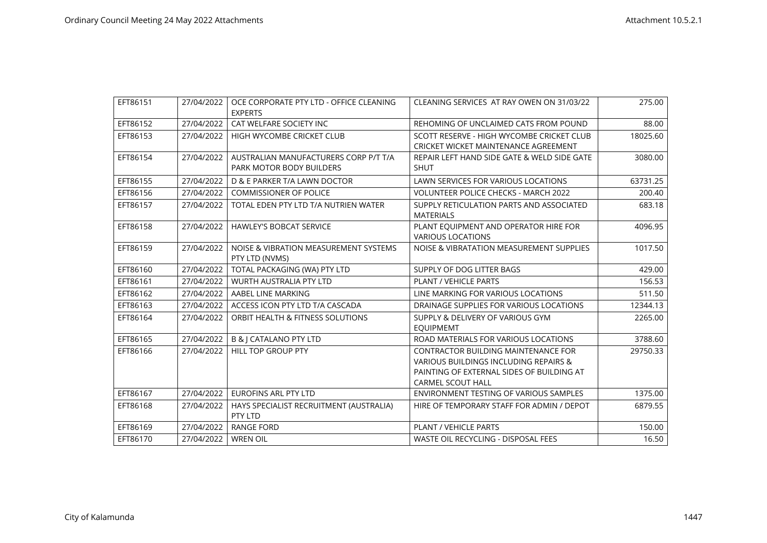| EFT86151 | 27/04/2022 | OCE CORPORATE PTY LTD - OFFICE CLEANING | CLEANING SERVICES AT RAY OWEN ON 31/03/22   | 275.00   |
|----------|------------|-----------------------------------------|---------------------------------------------|----------|
|          |            | <b>EXPERTS</b>                          |                                             |          |
| EFT86152 | 27/04/2022 | CAT WELFARE SOCIETY INC                 | REHOMING OF UNCLAIMED CATS FROM POUND       | 88.00    |
| EFT86153 | 27/04/2022 | HIGH WYCOMBE CRICKET CLUB               | SCOTT RESERVE - HIGH WYCOMBE CRICKET CLUB   | 18025.60 |
|          |            |                                         | <b>CRICKET WICKET MAINTENANCE AGREEMENT</b> |          |
| EFT86154 | 27/04/2022 | AUSTRALIAN MANUFACTURERS CORP P/T T/A   | REPAIR LEFT HAND SIDE GATE & WELD SIDE GATE | 3080.00  |
|          |            | PARK MOTOR BODY BUILDERS                | <b>SHUT</b>                                 |          |
| EFT86155 | 27/04/2022 | D & E PARKER T/A LAWN DOCTOR            | LAWN SERVICES FOR VARIOUS LOCATIONS         | 63731.25 |
| EFT86156 | 27/04/2022 | <b>COMMISSIONER OF POLICE</b>           | <b>VOLUNTEER POLICE CHECKS - MARCH 2022</b> | 200.40   |
| EFT86157 | 27/04/2022 | TOTAL EDEN PTY LTD T/A NUTRIEN WATER    | SUPPLY RETICULATION PARTS AND ASSOCIATED    | 683.18   |
|          |            |                                         | <b>MATERIALS</b>                            |          |
| EFT86158 | 27/04/2022 | <b>HAWLEY'S BOBCAT SERVICE</b>          | PLANT EQUIPMENT AND OPERATOR HIRE FOR       | 4096.95  |
|          |            |                                         | <b>VARIOUS LOCATIONS</b>                    |          |
| EFT86159 | 27/04/2022 | NOISE & VIBRATION MEASUREMENT SYSTEMS   | NOISE & VIBRATATION MEASUREMENT SUPPLIES    | 1017.50  |
|          |            | PTY LTD (NVMS)                          |                                             |          |
| EFT86160 | 27/04/2022 | TOTAL PACKAGING (WA) PTY LTD            | SUPPLY OF DOG LITTER BAGS                   | 429.00   |
| EFT86161 | 27/04/2022 | <b>WURTH AUSTRALIA PTY LTD</b>          | PLANT / VEHICLE PARTS                       | 156.53   |
| EFT86162 | 27/04/2022 | AABEL LINE MARKING                      | LINE MARKING FOR VARIOUS LOCATIONS          | 511.50   |
| EFT86163 | 27/04/2022 | ACCESS ICON PTY LTD T/A CASCADA         | DRAINAGE SUPPLIES FOR VARIOUS LOCATIONS     | 12344.13 |
| EFT86164 | 27/04/2022 | ORBIT HEALTH & FITNESS SOLUTIONS        | SUPPLY & DELIVERY OF VARIOUS GYM            | 2265.00  |
|          |            |                                         | <b>EQUIPMEMT</b>                            |          |
| EFT86165 | 27/04/2022 | <b>B &amp; J CATALANO PTY LTD</b>       | ROAD MATERIALS FOR VARIOUS LOCATIONS        | 3788.60  |
| EFT86166 | 27/04/2022 | <b>HILL TOP GROUP PTY</b>               | CONTRACTOR BUILDING MAINTENANCE FOR         | 29750.33 |
|          |            |                                         | VARIOUS BUILDINGS INCLUDING REPAIRS &       |          |
|          |            |                                         | PAINTING OF EXTERNAL SIDES OF BUILDING AT   |          |
|          |            |                                         | <b>CARMEL SCOUT HALL</b>                    |          |
| EFT86167 | 27/04/2022 | <b>EUROFINS ARL PTY LTD</b>             | ENVIRONMENT TESTING OF VARIOUS SAMPLES      | 1375.00  |
| EFT86168 | 27/04/2022 | HAYS SPECIALIST RECRUITMENT (AUSTRALIA) | HIRE OF TEMPORARY STAFF FOR ADMIN / DEPOT   | 6879.55  |
|          |            | PTY LTD                                 |                                             |          |
| EFT86169 | 27/04/2022 | <b>RANGE FORD</b>                       | PLANT / VEHICLE PARTS                       | 150.00   |
| EFT86170 | 27/04/2022 | <b>WREN OIL</b>                         | WASTE OIL RECYCLING - DISPOSAL FEES         | 16.50    |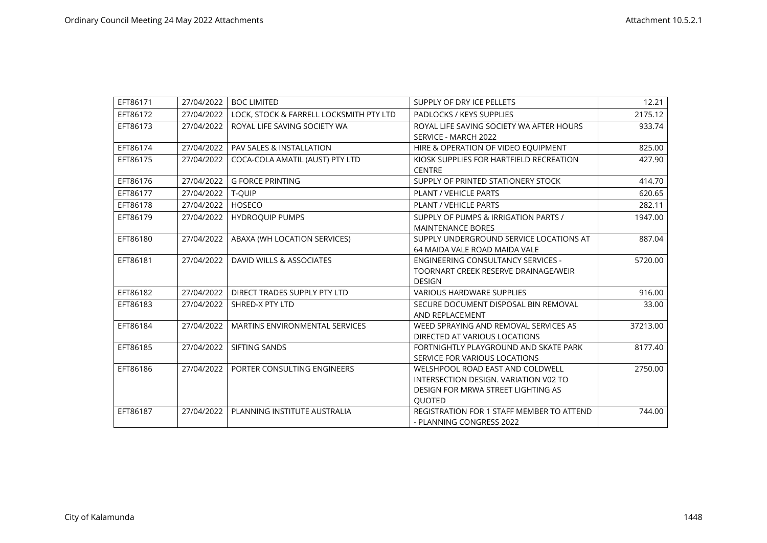| EFT86171 | 27/04/2022 | <b>BOC LIMITED</b>                      | SUPPLY OF DRY ICE PELLETS                 | 12.21    |
|----------|------------|-----------------------------------------|-------------------------------------------|----------|
| EFT86172 | 27/04/2022 | LOCK, STOCK & FARRELL LOCKSMITH PTY LTD | PADLOCKS / KEYS SUPPLIES                  | 2175.12  |
| EFT86173 | 27/04/2022 | ROYAL LIFE SAVING SOCIETY WA            | ROYAL LIFE SAVING SOCIETY WA AFTER HOURS  | 933.74   |
|          |            |                                         | SERVICE - MARCH 2022                      |          |
| EFT86174 | 27/04/2022 | <b>PAV SALES &amp; INSTALLATION</b>     | HIRE & OPERATION OF VIDEO EQUIPMENT       | 825.00   |
| EFT86175 | 27/04/2022 | COCA-COLA AMATIL (AUST) PTY LTD         | KIOSK SUPPLIES FOR HARTFIELD RECREATION   | 427.90   |
|          |            |                                         | <b>CENTRE</b>                             |          |
| EFT86176 | 27/04/2022 | <b>G FORCE PRINTING</b>                 | SUPPLY OF PRINTED STATIONERY STOCK        | 414.70   |
| EFT86177 | 27/04/2022 | T-QUIP                                  | <b>PLANT / VEHICLE PARTS</b>              | 620.65   |
| EFT86178 | 27/04/2022 | HOSECO                                  | PLANT / VEHICLE PARTS                     | 282.11   |
| EFT86179 | 27/04/2022 | <b>HYDROQUIP PUMPS</b>                  | SUPPLY OF PUMPS & IRRIGATION PARTS /      | 1947.00  |
|          |            |                                         | <b>MAINTENANCE BORES</b>                  |          |
| EFT86180 | 27/04/2022 | ABAXA (WH LOCATION SERVICES)            | SUPPLY UNDERGROUND SERVICE LOCATIONS AT   | 887.04   |
|          |            |                                         | 64 MAIDA VALE ROAD MAIDA VALE             |          |
| EFT86181 | 27/04/2022 | DAVID WILLS & ASSOCIATES                | <b>ENGINEERING CONSULTANCY SERVICES -</b> | 5720.00  |
|          |            |                                         | TOORNART CREEK RESERVE DRAINAGE/WEIR      |          |
|          |            |                                         | <b>DESIGN</b>                             |          |
| EFT86182 | 27/04/2022 | DIRECT TRADES SUPPLY PTY LTD            | <b>VARIOUS HARDWARE SUPPLIES</b>          | 916.00   |
| EFT86183 | 27/04/2022 | SHRED-X PTY LTD                         | SECURE DOCUMENT DISPOSAL BIN REMOVAL      | 33.00    |
|          |            |                                         | AND REPLACEMENT                           |          |
| EFT86184 | 27/04/2022 | <b>MARTINS ENVIRONMENTAL SERVICES</b>   | WEED SPRAYING AND REMOVAL SERVICES AS     | 37213.00 |
|          |            |                                         | DIRECTED AT VARIOUS LOCATIONS             |          |
| EFT86185 | 27/04/2022 | SIFTING SANDS                           | FORTNIGHTLY PLAYGROUND AND SKATE PARK     | 8177.40  |
|          |            |                                         | SERVICE FOR VARIOUS LOCATIONS             |          |
| EFT86186 | 27/04/2022 | PORTER CONSULTING ENGINEERS             | WELSHPOOL ROAD EAST AND COLDWELL          | 2750.00  |
|          |            |                                         | INTERSECTION DESIGN. VARIATION V02 TO     |          |
|          |            |                                         | DESIGN FOR MRWA STREET LIGHTING AS        |          |
|          |            |                                         | QUOTED                                    |          |
| EFT86187 | 27/04/2022 | PLANNING INSTITUTE AUSTRALIA            | REGISTRATION FOR 1 STAFF MEMBER TO ATTEND | 744.00   |
|          |            |                                         | - PLANNING CONGRESS 2022                  |          |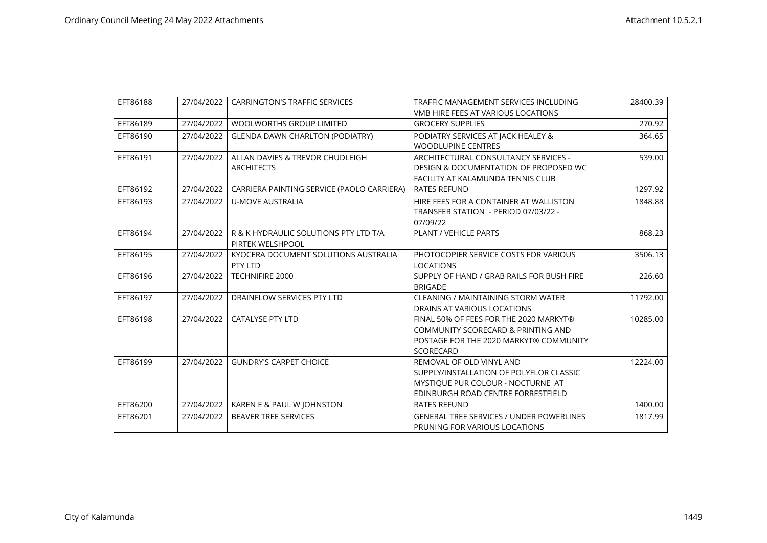| EFT86188 | 27/04/2022 | <b>CARRINGTON'S TRAFFIC SERVICES</b>       | TRAFFIC MANAGEMENT SERVICES INCLUDING           | 28400.39 |
|----------|------------|--------------------------------------------|-------------------------------------------------|----------|
|          |            |                                            | <b>VMB HIRE FEES AT VARIOUS LOCATIONS</b>       |          |
| EFT86189 | 27/04/2022 | <b>WOOLWORTHS GROUP LIMITED</b>            | <b>GROCERY SUPPLIES</b>                         | 270.92   |
| EFT86190 | 27/04/2022 | <b>GLENDA DAWN CHARLTON (PODIATRY)</b>     | PODIATRY SERVICES AT JACK HEALEY &              | 364.65   |
|          |            |                                            | <b>WOODLUPINE CENTRES</b>                       |          |
| EFT86191 | 27/04/2022 | ALLAN DAVIES & TREVOR CHUDLEIGH            | ARCHITECTURAL CONSULTANCY SERVICES -            | 539.00   |
|          |            | <b>ARCHITECTS</b>                          | DESIGN & DOCUMENTATION OF PROPOSED WC           |          |
|          |            |                                            | FACILITY AT KALAMUNDA TENNIS CLUB               |          |
| EFT86192 | 27/04/2022 | CARRIERA PAINTING SERVICE (PAOLO CARRIERA) | <b>RATES REFUND</b>                             | 1297.92  |
| EFT86193 | 27/04/2022 | <b>U-MOVE AUSTRALIA</b>                    | HIRE FEES FOR A CONTAINER AT WALLISTON          | 1848.88  |
|          |            |                                            | TRANSFER STATION - PERIOD 07/03/22 -            |          |
|          |            |                                            | 07/09/22                                        |          |
| EFT86194 | 27/04/2022 | R & K HYDRAULIC SOLUTIONS PTY LTD T/A      | <b>PLANT / VEHICLE PARTS</b>                    | 868.23   |
|          |            | PIRTEK WELSHPOOL                           |                                                 |          |
| EFT86195 | 27/04/2022 | KYOCERA DOCUMENT SOLUTIONS AUSTRALIA       | PHOTOCOPIER SERVICE COSTS FOR VARIOUS           | 3506.13  |
|          |            | PTY LTD                                    | <b>LOCATIONS</b>                                |          |
| EFT86196 | 27/04/2022 | TECHNIFIRE 2000                            | SUPPLY OF HAND / GRAB RAILS FOR BUSH FIRE       | 226.60   |
|          |            |                                            | <b>BRIGADE</b>                                  |          |
| EFT86197 | 27/04/2022 | DRAINFLOW SERVICES PTY LTD                 | CLEANING / MAINTAINING STORM WATER              | 11792.00 |
|          |            |                                            | DRAINS AT VARIOUS LOCATIONS                     |          |
| EFT86198 | 27/04/2022 | <b>CATALYSE PTY LTD</b>                    | FINAL 50% OF FEES FOR THE 2020 MARKYT®          | 10285.00 |
|          |            |                                            | COMMUNITY SCORECARD & PRINTING AND              |          |
|          |            |                                            | POSTAGE FOR THE 2020 MARKYT® COMMUNITY          |          |
|          |            |                                            | SCORECARD                                       |          |
| EFT86199 | 27/04/2022 | <b>GUNDRY'S CARPET CHOICE</b>              | REMOVAL OF OLD VINYL AND                        | 12224.00 |
|          |            |                                            | SUPPLY/INSTALLATION OF POLYFLOR CLASSIC         |          |
|          |            |                                            | MYSTIQUE PUR COLOUR - NOCTURNE AT               |          |
|          |            |                                            | EDINBURGH ROAD CENTRE FORRESTFIELD              |          |
| EFT86200 | 27/04/2022 | KAREN E & PAUL W JOHNSTON                  | <b>RATES REFUND</b>                             | 1400.00  |
| EFT86201 | 27/04/2022 | <b>BEAVER TREE SERVICES</b>                | <b>GENERAL TREE SERVICES / UNDER POWERLINES</b> | 1817.99  |
|          |            |                                            | PRUNING FOR VARIOUS LOCATIONS                   |          |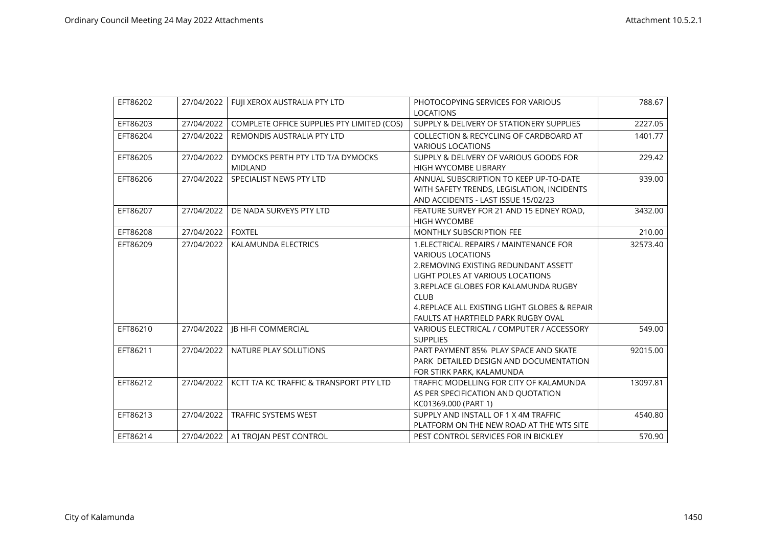| EFT86202 | 27/04/2022 | FUJI XEROX AUSTRALIA PTY LTD                        | PHOTOCOPYING SERVICES FOR VARIOUS<br><b>LOCATIONS</b>                                                                                                                                                                                                                                            | 788.67   |
|----------|------------|-----------------------------------------------------|--------------------------------------------------------------------------------------------------------------------------------------------------------------------------------------------------------------------------------------------------------------------------------------------------|----------|
| EFT86203 | 27/04/2022 | COMPLETE OFFICE SUPPLIES PTY LIMITED (COS)          | SUPPLY & DELIVERY OF STATIONERY SUPPLIES                                                                                                                                                                                                                                                         | 2227.05  |
| EFT86204 | 27/04/2022 | REMONDIS AUSTRALIA PTY LTD                          | COLLECTION & RECYCLING OF CARDBOARD AT<br><b>VARIOUS LOCATIONS</b>                                                                                                                                                                                                                               | 1401.77  |
| EFT86205 | 27/04/2022 | DYMOCKS PERTH PTY LTD T/A DYMOCKS<br><b>MIDLAND</b> | SUPPLY & DELIVERY OF VARIOUS GOODS FOR<br><b>HIGH WYCOMBE LIBRARY</b>                                                                                                                                                                                                                            | 229.42   |
| EFT86206 | 27/04/2022 | SPECIALIST NEWS PTY LTD                             | ANNUAL SUBSCRIPTION TO KEEP UP-TO-DATE<br>WITH SAFETY TRENDS, LEGISLATION, INCIDENTS<br>AND ACCIDENTS - LAST ISSUE 15/02/23                                                                                                                                                                      | 939.00   |
| EFT86207 | 27/04/2022 | DE NADA SURVEYS PTY LTD                             | FEATURE SURVEY FOR 21 AND 15 EDNEY ROAD,<br><b>HIGH WYCOMBE</b>                                                                                                                                                                                                                                  | 3432.00  |
| EFT86208 | 27/04/2022 | <b>FOXTEL</b>                                       | <b>MONTHLY SUBSCRIPTION FEE</b>                                                                                                                                                                                                                                                                  | 210.00   |
| EFT86209 | 27/04/2022 | KALAMUNDA ELECTRICS                                 | 1. ELECTRICAL REPAIRS / MAINTENANCE FOR<br><b>VARIOUS LOCATIONS</b><br>2. REMOVING EXISTING REDUNDANT ASSETT<br>LIGHT POLES AT VARIOUS LOCATIONS<br>3. REPLACE GLOBES FOR KALAMUNDA RUGBY<br><b>CLUB</b><br>4. REPLACE ALL EXISTING LIGHT GLOBES & REPAIR<br>FAULTS AT HARTFIELD PARK RUGBY OVAL | 32573.40 |
| EFT86210 | 27/04/2022 | <b>JB HI-FI COMMERCIAL</b>                          | VARIOUS ELECTRICAL / COMPUTER / ACCESSORY<br><b>SUPPLIES</b>                                                                                                                                                                                                                                     | 549.00   |
| EFT86211 | 27/04/2022 | NATURE PLAY SOLUTIONS                               | PART PAYMENT 85% PLAY SPACE AND SKATE<br>PARK DETAILED DESIGN AND DOCUMENTATION<br>FOR STIRK PARK, KALAMUNDA                                                                                                                                                                                     | 92015.00 |
| EFT86212 | 27/04/2022 | KCTT T/A KC TRAFFIC & TRANSPORT PTY LTD             | TRAFFIC MODELLING FOR CITY OF KALAMUNDA<br>AS PER SPECIFICATION AND QUOTATION<br>KC01369.000 (PART 1)                                                                                                                                                                                            | 13097.81 |
| EFT86213 | 27/04/2022 | <b>TRAFFIC SYSTEMS WEST</b>                         | SUPPLY AND INSTALL OF 1 X 4M TRAFFIC<br>PLATFORM ON THE NEW ROAD AT THE WTS SITE                                                                                                                                                                                                                 | 4540.80  |
| EFT86214 |            | 27/04/2022   A1 TROJAN PEST CONTROL                 | PEST CONTROL SERVICES FOR IN BICKLEY                                                                                                                                                                                                                                                             | 570.90   |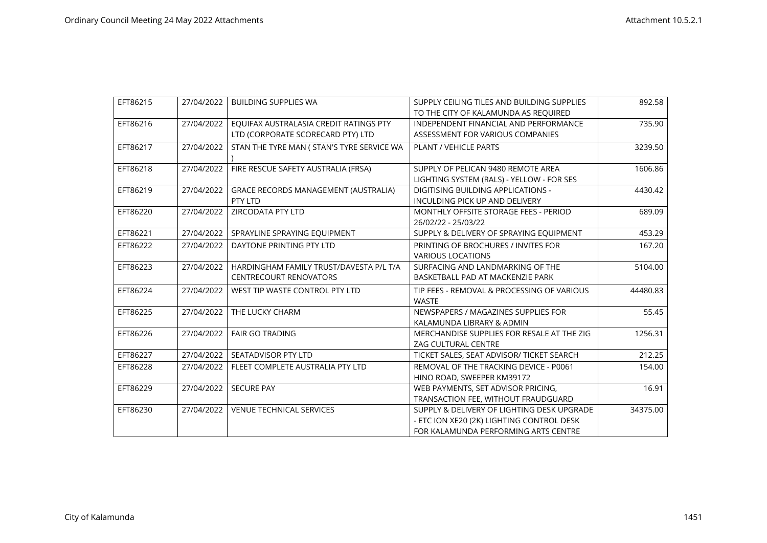| EFT86215 | 27/04/2022 | <b>BUILDING SUPPLIES WA</b>                 | SUPPLY CEILING TILES AND BUILDING SUPPLIES | 892.58   |
|----------|------------|---------------------------------------------|--------------------------------------------|----------|
|          |            |                                             | TO THE CITY OF KALAMUNDA AS REQUIRED       |          |
| EFT86216 | 27/04/2022 | EQUIFAX AUSTRALASIA CREDIT RATINGS PTY      | INDEPENDENT FINANCIAL AND PERFORMANCE      | 735.90   |
|          |            | LTD (CORPORATE SCORECARD PTY) LTD           | ASSESSMENT FOR VARIOUS COMPANIES           |          |
| EFT86217 | 27/04/2022 | STAN THE TYRE MAN ( STAN'S TYRE SERVICE WA  | PLANT / VEHICLE PARTS                      | 3239.50  |
|          |            |                                             |                                            |          |
| EFT86218 | 27/04/2022 | FIRE RESCUE SAFETY AUSTRALIA (FRSA)         | SUPPLY OF PELICAN 9480 REMOTE AREA         | 1606.86  |
|          |            |                                             | LIGHTING SYSTEM (RALS) - YELLOW - FOR SES  |          |
| EFT86219 | 27/04/2022 | <b>GRACE RECORDS MANAGEMENT (AUSTRALIA)</b> | <b>DIGITISING BUILDING APPLICATIONS -</b>  | 4430.42  |
|          |            | PTY LTD                                     | INCULDING PICK UP AND DELIVERY             |          |
| EFT86220 | 27/04/2022 | ZIRCODATA PTY LTD                           | MONTHLY OFFSITE STORAGE FEES - PERIOD      | 689.09   |
|          |            |                                             | 26/02/22 - 25/03/22                        |          |
| EFT86221 | 27/04/2022 | SPRAYLINE SPRAYING EQUIPMENT                | SUPPLY & DELIVERY OF SPRAYING EQUIPMENT    | 453.29   |
| EFT86222 | 27/04/2022 | DAYTONE PRINTING PTY LTD                    | PRINTING OF BROCHURES / INVITES FOR        | 167.20   |
|          |            |                                             | <b>VARIOUS LOCATIONS</b>                   |          |
| EFT86223 | 27/04/2022 | HARDINGHAM FAMILY TRUST/DAVESTA P/L T/A     | SURFACING AND LANDMARKING OF THE           | 5104.00  |
|          |            | <b>CENTRECOURT RENOVATORS</b>               | BASKETBALL PAD AT MACKENZIE PARK           |          |
| EFT86224 | 27/04/2022 | WEST TIP WASTE CONTROL PTY LTD              | TIP FEES - REMOVAL & PROCESSING OF VARIOUS | 44480.83 |
|          |            |                                             | <b>WASTE</b>                               |          |
| EFT86225 | 27/04/2022 | THE LUCKY CHARM                             | NEWSPAPERS / MAGAZINES SUPPLIES FOR        | 55.45    |
|          |            |                                             | KALAMUNDA LIBRARY & ADMIN                  |          |
| EFT86226 | 27/04/2022 | <b>FAIR GO TRADING</b>                      | MERCHANDISE SUPPLIES FOR RESALE AT THE ZIG | 1256.31  |
|          |            |                                             | <b>ZAG CULTURAL CENTRE</b>                 |          |
| EFT86227 | 27/04/2022 | SEATADVISOR PTY LTD                         | TICKET SALES, SEAT ADVISOR/ TICKET SEARCH  | 212.25   |
| EFT86228 | 27/04/2022 | FLEET COMPLETE AUSTRALIA PTY LTD            | REMOVAL OF THE TRACKING DEVICE - P0061     | 154.00   |
|          |            |                                             | HINO ROAD, SWEEPER KM39172                 |          |
| EFT86229 | 27/04/2022 | <b>SECURE PAY</b>                           | WEB PAYMENTS, SET ADVISOR PRICING.         | 16.91    |
|          |            |                                             | TRANSACTION FEE, WITHOUT FRAUDGUARD        |          |
| EFT86230 | 27/04/2022 | <b>VENUE TECHNICAL SERVICES</b>             | SUPPLY & DELIVERY OF LIGHTING DESK UPGRADE | 34375.00 |
|          |            |                                             | - ETC ION XE20 (2K) LIGHTING CONTROL DESK  |          |
|          |            |                                             | FOR KALAMUNDA PERFORMING ARTS CENTRE       |          |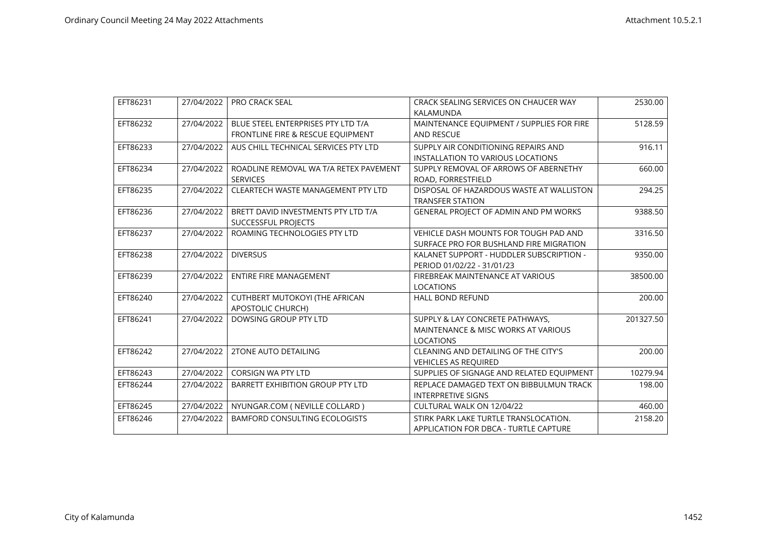| EFT86231 | 27/04/2022 | <b>PRO CRACK SEAL</b>                     | CRACK SEALING SERVICES ON CHAUCER WAY<br>KALAMUNDA | 2530.00   |
|----------|------------|-------------------------------------------|----------------------------------------------------|-----------|
|          |            |                                           |                                                    |           |
| EFT86232 | 27/04/2022 | BLUE STEEL ENTERPRISES PTY LTD T/A        | MAINTENANCE EQUIPMENT / SUPPLIES FOR FIRE          | 5128.59   |
|          |            | FRONTLINE FIRE & RESCUE EQUIPMENT         | <b>AND RESCUE</b>                                  |           |
| EFT86233 | 27/04/2022 | AUS CHILL TECHNICAL SERVICES PTY LTD      | SUPPLY AIR CONDITIONING REPAIRS AND                | 916.11    |
|          |            |                                           | INSTALLATION TO VARIOUS LOCATIONS                  |           |
| EFT86234 | 27/04/2022 | ROADLINE REMOVAL WA T/A RETEX PAVEMENT    | SUPPLY REMOVAL OF ARROWS OF ABERNETHY              | 660.00    |
|          |            | <b>SERVICES</b>                           | ROAD, FORRESTFIELD                                 |           |
| EFT86235 | 27/04/2022 | <b>CLEARTECH WASTE MANAGEMENT PTY LTD</b> | DISPOSAL OF HAZARDOUS WASTE AT WALLISTON           | 294.25    |
|          |            |                                           | <b>TRANSFER STATION</b>                            |           |
| EFT86236 | 27/04/2022 | BRETT DAVID INVESTMENTS PTY LTD T/A       | GENERAL PROJECT OF ADMIN AND PM WORKS              | 9388.50   |
|          |            | SUCCESSFUL PROJECTS                       |                                                    |           |
| EFT86237 | 27/04/2022 | ROAMING TECHNOLOGIES PTY LTD              | <b>VEHICLE DASH MOUNTS FOR TOUGH PAD AND</b>       | 3316.50   |
|          |            |                                           | SURFACE PRO FOR BUSHLAND FIRE MIGRATION            |           |
| EFT86238 | 27/04/2022 | <b>DIVERSUS</b>                           | KALANET SUPPORT - HUDDLER SUBSCRIPTION -           | 9350.00   |
|          |            |                                           | PERIOD 01/02/22 - 31/01/23                         |           |
| EFT86239 | 27/04/2022 | <b>ENTIRE FIRE MANAGEMENT</b>             | FIREBREAK MAINTENANCE AT VARIOUS                   | 38500.00  |
|          |            |                                           | <b>LOCATIONS</b>                                   |           |
| EFT86240 | 27/04/2022 | <b>CUTHBERT MUTOKOYI (THE AFRICAN</b>     | <b>HALL BOND REFUND</b>                            | 200.00    |
|          |            | APOSTOLIC CHURCH)                         |                                                    |           |
| EFT86241 | 27/04/2022 | DOWSING GROUP PTY LTD                     | SUPPLY & LAY CONCRETE PATHWAYS,                    | 201327.50 |
|          |            |                                           | MAINTENANCE & MISC WORKS AT VARIOUS                |           |
|          |            |                                           | <b>LOCATIONS</b>                                   |           |
| EFT86242 | 27/04/2022 | <b>2TONE AUTO DETAILING</b>               | CLEANING AND DETAILING OF THE CITY'S               | 200.00    |
|          |            |                                           | <b>VEHICLES AS REQUIRED</b>                        |           |
| EFT86243 | 27/04/2022 | <b>CORSIGN WA PTY LTD</b>                 | SUPPLIES OF SIGNAGE AND RELATED EQUIPMENT          | 10279.94  |
| EFT86244 | 27/04/2022 | <b>BARRETT EXHIBITION GROUP PTY LTD</b>   | REPLACE DAMAGED TEXT ON BIBBULMUN TRACK            | 198.00    |
|          |            |                                           | <b>INTERPRETIVE SIGNS</b>                          |           |
| EFT86245 | 27/04/2022 | NYUNGAR.COM ( NEVILLE COLLARD )           | CULTURAL WALK ON 12/04/22                          | 460.00    |
| EFT86246 | 27/04/2022 | <b>BAMFORD CONSULTING ECOLOGISTS</b>      | STIRK PARK LAKE TURTLE TRANSLOCATION.              | 2158.20   |
|          |            |                                           | APPLICATION FOR DBCA - TURTLE CAPTURE              |           |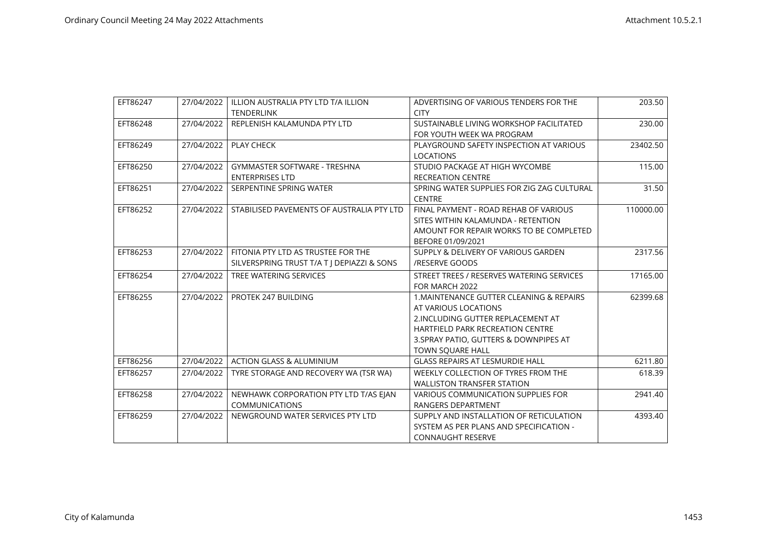| EFT86247 | 27/04/2022 | ILLION AUSTRALIA PTY LTD T/A ILLION        | ADVERTISING OF VARIOUS TENDERS FOR THE     | 203.50    |
|----------|------------|--------------------------------------------|--------------------------------------------|-----------|
|          |            | <b>TENDERLINK</b>                          | <b>CITY</b>                                |           |
| EFT86248 | 27/04/2022 | REPLENISH KALAMUNDA PTY LTD                | SUSTAINABLE LIVING WORKSHOP FACILITATED    | 230.00    |
|          |            |                                            | FOR YOUTH WEEK WA PROGRAM                  |           |
| EFT86249 | 27/04/2022 | PLAY CHECK                                 | PLAYGROUND SAFETY INSPECTION AT VARIOUS    | 23402.50  |
|          |            |                                            | <b>LOCATIONS</b>                           |           |
| EFT86250 | 27/04/2022 | <b>GYMMASTER SOFTWARE - TRESHNA</b>        | STUDIO PACKAGE AT HIGH WYCOMBE             | 115.00    |
|          |            | <b>ENTERPRISES LTD</b>                     | <b>RECREATION CENTRE</b>                   |           |
| EFT86251 | 27/04/2022 | SERPENTINE SPRING WATER                    | SPRING WATER SUPPLIES FOR ZIG ZAG CULTURAL | 31.50     |
|          |            |                                            | <b>CENTRE</b>                              |           |
| EFT86252 | 27/04/2022 | STABILISED PAVEMENTS OF AUSTRALIA PTY LTD  | FINAL PAYMENT - ROAD REHAB OF VARIOUS      | 110000.00 |
|          |            |                                            | SITES WITHIN KALAMUNDA - RETENTION         |           |
|          |            |                                            | AMOUNT FOR REPAIR WORKS TO BE COMPLETED    |           |
|          |            |                                            | BEFORE 01/09/2021                          |           |
| EFT86253 | 27/04/2022 | FITONIA PTY LTD AS TRUSTEE FOR THE         | SUPPLY & DELIVERY OF VARIOUS GARDEN        | 2317.56   |
|          |            | SILVERSPRING TRUST T/A T   DEPIAZZI & SONS | /RESERVE GOODS                             |           |
| EFT86254 | 27/04/2022 | TREE WATERING SERVICES                     | STREET TREES / RESERVES WATERING SERVICES  | 17165.00  |
|          |            |                                            | FOR MARCH 2022                             |           |
| EFT86255 | 27/04/2022 | PROTEK 247 BUILDING                        | 1. MAINTENANCE GUTTER CLEANING & REPAIRS   | 62399.68  |
|          |            |                                            | AT VARIOUS LOCATIONS                       |           |
|          |            |                                            | 2. INCLUDING GUTTER REPLACEMENT AT         |           |
|          |            |                                            | <b>HARTFIELD PARK RECREATION CENTRE</b>    |           |
|          |            |                                            | 3. SPRAY PATIO, GUTTERS & DOWNPIPES AT     |           |
|          |            |                                            | TOWN SQUARE HALL                           |           |
| EFT86256 | 27/04/2022 | <b>ACTION GLASS &amp; ALUMINIUM</b>        | <b>GLASS REPAIRS AT LESMURDIE HALL</b>     | 6211.80   |
| EFT86257 | 27/04/2022 | TYRE STORAGE AND RECOVERY WA (TSR WA)      | WEEKLY COLLECTION OF TYRES FROM THE        | 618.39    |
|          |            |                                            | <b>WALLISTON TRANSFER STATION</b>          |           |
| EFT86258 | 27/04/2022 | NEWHAWK CORPORATION PTY LTD T/AS EJAN      | <b>VARIOUS COMMUNICATION SUPPLIES FOR</b>  | 2941.40   |
|          |            | <b>COMMUNICATIONS</b>                      | RANGERS DEPARTMENT                         |           |
| EFT86259 | 27/04/2022 | NEWGROUND WATER SERVICES PTY LTD           | SUPPLY AND INSTALLATION OF RETICULATION    | 4393.40   |
|          |            |                                            | SYSTEM AS PER PLANS AND SPECIFICATION -    |           |
|          |            |                                            | <b>CONNAUGHT RESERVE</b>                   |           |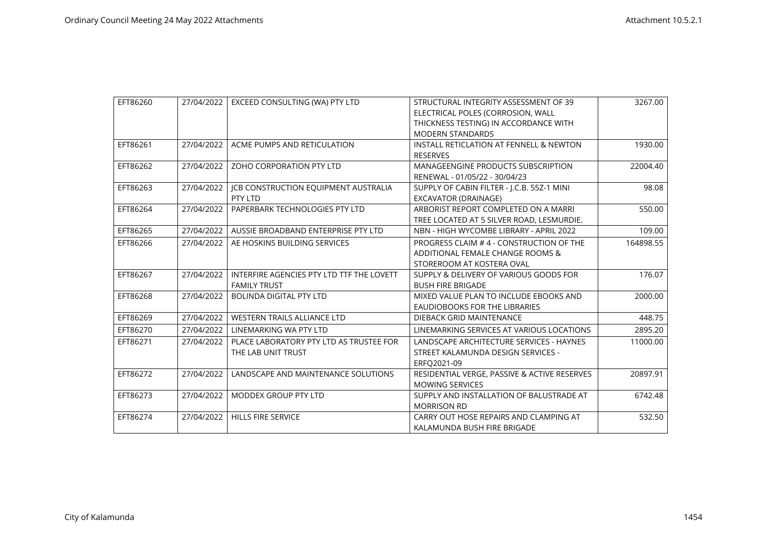| EFT86260 | 27/04/2022 | EXCEED CONSULTING (WA) PTY LTD            | STRUCTURAL INTEGRITY ASSESSMENT OF 39        | 3267.00   |
|----------|------------|-------------------------------------------|----------------------------------------------|-----------|
|          |            |                                           | ELECTRICAL POLES (CORROSION, WALL            |           |
|          |            |                                           | THICKNESS TESTING) IN ACCORDANCE WITH        |           |
|          |            |                                           | <b>MODERN STANDARDS</b>                      |           |
| EFT86261 | 27/04/2022 | ACME PUMPS AND RETICULATION               | INSTALL RETICLATION AT FENNELL & NEWTON      | 1930.00   |
|          |            |                                           | <b>RESERVES</b>                              |           |
| EFT86262 | 27/04/2022 | ZOHO CORPORATION PTY LTD                  | <b>MANAGEENGINE PRODUCTS SUBSCRIPTION</b>    | 22004.40  |
|          |            |                                           | RENEWAL - 01/05/22 - 30/04/23                |           |
| EFT86263 | 27/04/2022 | ICB CONSTRUCTION EQUIPMENT AUSTRALIA      | SUPPLY OF CABIN FILTER - I.C.B. 55Z-1 MINI   | 98.08     |
|          |            | PTY LTD                                   | EXCAVATOR (DRAINAGE)                         |           |
| EFT86264 | 27/04/2022 | PAPERBARK TECHNOLOGIES PTY LTD            | ARBORIST REPORT COMPLETED ON A MARRI         | 550.00    |
|          |            |                                           | TREE LOCATED AT 5 SILVER ROAD, LESMURDIE.    |           |
| EFT86265 | 27/04/2022 | AUSSIE BROADBAND ENTERPRISE PTY LTD       | NBN - HIGH WYCOMBE LIBRARY - APRIL 2022      | 109.00    |
| EFT86266 | 27/04/2022 | AE HOSKINS BUILDING SERVICES              | PROGRESS CLAIM #4 - CONSTRUCTION OF THE      | 164898.55 |
|          |            |                                           | ADDITIONAL FEMALE CHANGE ROOMS &             |           |
|          |            |                                           | STOREROOM AT KOSTERA OVAL                    |           |
| EFT86267 | 27/04/2022 | INTERFIRE AGENCIES PTY LTD TTF THE LOVETT | SUPPLY & DELIVERY OF VARIOUS GOODS FOR       | 176.07    |
|          |            | <b>FAMILY TRUST</b>                       | <b>BUSH FIRE BRIGADE</b>                     |           |
| EFT86268 | 27/04/2022 | <b>BOLINDA DIGITAL PTY LTD</b>            | MIXED VALUE PLAN TO INCLUDE EBOOKS AND       | 2000.00   |
|          |            |                                           | <b>EAUDIOBOOKS FOR THE LIBRARIES</b>         |           |
| EFT86269 | 27/04/2022 | <b>WESTERN TRAILS ALLIANCE LTD</b>        | DIEBACK GRID MAINTENANCE                     | 448.75    |
| EFT86270 | 27/04/2022 | LINEMARKING WA PTY LTD                    | LINEMARKING SERVICES AT VARIOUS LOCATIONS    | 2895.20   |
| EFT86271 | 27/04/2022 | PLACE LABORATORY PTY LTD AS TRUSTEE FOR   | LANDSCAPE ARCHITECTURE SERVICES - HAYNES     | 11000.00  |
|          |            | THE LAB UNIT TRUST                        | STREET KALAMUNDA DESIGN SERVICES -           |           |
|          |            |                                           | ERFO2021-09                                  |           |
| EFT86272 | 27/04/2022 | LANDSCAPE AND MAINTENANCE SOLUTIONS       | RESIDENTIAL VERGE, PASSIVE & ACTIVE RESERVES | 20897.91  |
|          |            |                                           | <b>MOWING SERVICES</b>                       |           |
| EFT86273 | 27/04/2022 | MODDEX GROUP PTY LTD                      | SUPPLY AND INSTALLATION OF BALUSTRADE AT     | 6742.48   |
|          |            |                                           | <b>MORRISON RD</b>                           |           |
| EFT86274 | 27/04/2022 | HILLS FIRE SERVICE                        | CARRY OUT HOSE REPAIRS AND CLAMPING AT       | 532.50    |
|          |            |                                           | KALAMUNDA BUSH FIRE BRIGADE                  |           |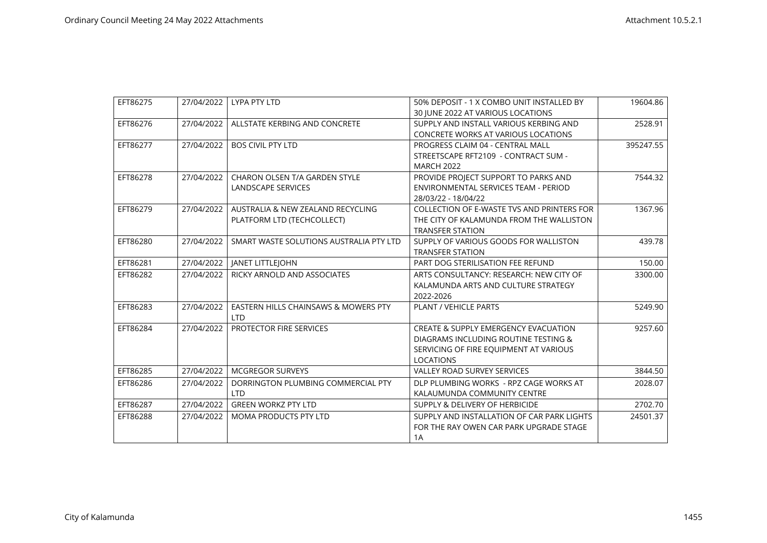| EFT86275 |            | 27/04/2022   LYPA PTY LTD                                       | 50% DEPOSIT - 1 X COMBO UNIT INSTALLED BY<br>30 JUNE 2022 AT VARIOUS LOCATIONS                                                                        | 19604.86  |
|----------|------------|-----------------------------------------------------------------|-------------------------------------------------------------------------------------------------------------------------------------------------------|-----------|
| EFT86276 | 27/04/2022 | ALLSTATE KERBING AND CONCRETE                                   | SUPPLY AND INSTALL VARIOUS KERBING AND<br><b>CONCRETE WORKS AT VARIOUS LOCATIONS</b>                                                                  | 2528.91   |
| EFT86277 | 27/04/2022 | <b>BOS CIVIL PTY LTD</b>                                        | PROGRESS CLAIM 04 - CENTRAL MALL<br>STREETSCAPE RFT2109 - CONTRACT SUM -<br><b>MARCH 2022</b>                                                         | 395247.55 |
| EFT86278 | 27/04/2022 | CHARON OLSEN T/A GARDEN STYLE<br><b>LANDSCAPE SERVICES</b>      | PROVIDE PROJECT SUPPORT TO PARKS AND<br>ENVIRONMENTAL SERVICES TEAM - PERIOD<br>28/03/22 - 18/04/22                                                   | 7544.32   |
| EFT86279 | 27/04/2022 | AUSTRALIA & NEW ZEALAND RECYCLING<br>PLATFORM LTD (TECHCOLLECT) | COLLECTION OF E-WASTE TVS AND PRINTERS FOR<br>THE CITY OF KALAMUNDA FROM THE WALLISTON<br><b>TRANSFER STATION</b>                                     | 1367.96   |
| EFT86280 | 27/04/2022 | SMART WASTE SOLUTIONS AUSTRALIA PTY LTD                         | SUPPLY OF VARIOUS GOODS FOR WALLISTON<br><b>TRANSFER STATION</b>                                                                                      | 439.78    |
| EFT86281 |            | 27/04/2022   JANET LITTLEJOHN                                   | PART DOG STERILISATION FEE REFUND                                                                                                                     | 150.00    |
| EFT86282 | 27/04/2022 | RICKY ARNOLD AND ASSOCIATES                                     | ARTS CONSULTANCY: RESEARCH: NEW CITY OF<br>KALAMUNDA ARTS AND CULTURE STRATEGY<br>2022-2026                                                           | 3300.00   |
| EFT86283 | 27/04/2022 | EASTERN HILLS CHAINSAWS & MOWERS PTY<br><b>LTD</b>              | <b>PLANT / VEHICLE PARTS</b>                                                                                                                          | 5249.90   |
| EFT86284 | 27/04/2022 | PROTECTOR FIRE SERVICES                                         | <b>CREATE &amp; SUPPLY EMERGENCY EVACUATION</b><br>DIAGRAMS INCLUDING ROUTINE TESTING &<br>SERVICING OF FIRE EQUIPMENT AT VARIOUS<br><b>LOCATIONS</b> | 9257.60   |
| EFT86285 | 27/04/2022 | <b>MCGREGOR SURVEYS</b>                                         | <b>VALLEY ROAD SURVEY SERVICES</b>                                                                                                                    | 3844.50   |
| EFT86286 | 27/04/2022 | DORRINGTON PLUMBING COMMERCIAL PTY<br><b>LTD</b>                | DLP PLUMBING WORKS - RPZ CAGE WORKS AT<br>KALAUMUNDA COMMUNITY CENTRE                                                                                 | 2028.07   |
| EFT86287 | 27/04/2022 | <b>GREEN WORKZ PTY LTD</b>                                      | SUPPLY & DELIVERY OF HERBICIDE                                                                                                                        | 2702.70   |
| EFT86288 | 27/04/2022 | <b>MOMA PRODUCTS PTY LTD</b>                                    | SUPPLY AND INSTALLATION OF CAR PARK LIGHTS<br>FOR THE RAY OWEN CAR PARK UPGRADE STAGE<br>1A                                                           | 24501.37  |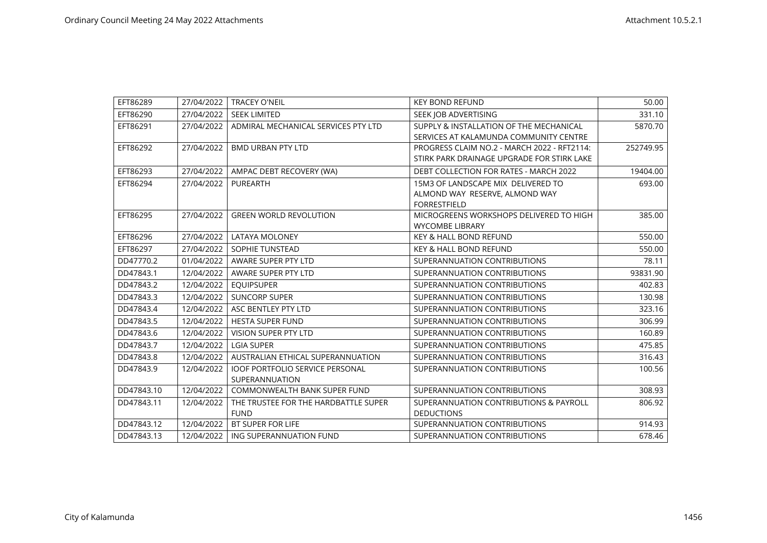| EFT86289   | 27/04/2022 | <b>TRACEY O'NEIL</b>                                     | <b>KEY BOND REFUND</b>                                                                      | 50.00     |
|------------|------------|----------------------------------------------------------|---------------------------------------------------------------------------------------------|-----------|
| EFT86290   | 27/04/2022 | <b>SEEK LIMITED</b>                                      | SEEK JOB ADVERTISING                                                                        | 331.10    |
| EFT86291   | 27/04/2022 | ADMIRAL MECHANICAL SERVICES PTY LTD                      | SUPPLY & INSTALLATION OF THE MECHANICAL<br>SERVICES AT KALAMUNDA COMMUNITY CENTRE           | 5870.70   |
| EFT86292   | 27/04/2022 | <b>BMD URBAN PTY LTD</b>                                 | PROGRESS CLAIM NO.2 - MARCH 2022 - RFT2114:<br>STIRK PARK DRAINAGE UPGRADE FOR STIRK LAKE   | 252749.95 |
| EFT86293   | 27/04/2022 | AMPAC DEBT RECOVERY (WA)                                 | DEBT COLLECTION FOR RATES - MARCH 2022                                                      | 19404.00  |
| EFT86294   | 27/04/2022 | PUREARTH                                                 | 15M3 OF LANDSCAPE MIX DELIVERED TO<br>ALMOND WAY RESERVE, ALMOND WAY<br><b>FORRESTFIELD</b> | 693.00    |
| EFT86295   | 27/04/2022 | <b>GREEN WORLD REVOLUTION</b>                            | MICROGREENS WORKSHOPS DELIVERED TO HIGH<br><b>WYCOMBE LIBRARY</b>                           | 385.00    |
| EFT86296   | 27/04/2022 | <b>LATAYA MOLONEY</b>                                    | <b>KEY &amp; HALL BOND REFUND</b>                                                           | 550.00    |
| EFT86297   | 27/04/2022 | SOPHIE TUNSTEAD                                          | <b>KEY &amp; HALL BOND REFUND</b>                                                           | 550.00    |
| DD47770.2  | 01/04/2022 | AWARE SUPER PTY LTD                                      | SUPERANNUATION CONTRIBUTIONS                                                                | 78.11     |
| DD47843.1  | 12/04/2022 | AWARE SUPER PTY LTD                                      | SUPERANNUATION CONTRIBUTIONS                                                                | 93831.90  |
| DD47843.2  | 12/04/2022 | <b>EOUIPSUPER</b>                                        | SUPERANNUATION CONTRIBUTIONS                                                                | 402.83    |
| DD47843.3  | 12/04/2022 | <b>SUNCORP SUPER</b>                                     | SUPERANNUATION CONTRIBUTIONS                                                                | 130.98    |
| DD47843.4  | 12/04/2022 | ASC BENTLEY PTY LTD                                      | SUPERANNUATION CONTRIBUTIONS                                                                | 323.16    |
| DD47843.5  | 12/04/2022 | <b>HESTA SUPER FUND</b>                                  | SUPERANNUATION CONTRIBUTIONS                                                                | 306.99    |
| DD47843.6  | 12/04/2022 | VISION SUPER PTY LTD                                     | SUPERANNUATION CONTRIBUTIONS                                                                | 160.89    |
| DD47843.7  | 12/04/2022 | <b>LGIA SUPER</b>                                        | SUPERANNUATION CONTRIBUTIONS                                                                | 475.85    |
| DD47843.8  | 12/04/2022 | AUSTRALIAN ETHICAL SUPERANNUATION                        | SUPERANNUATION CONTRIBUTIONS                                                                | 316.43    |
| DD47843.9  | 12/04/2022 | <b>IOOF PORTFOLIO SERVICE PERSONAL</b><br>SUPERANNUATION | SUPERANNUATION CONTRIBUTIONS                                                                | 100.56    |
| DD47843.10 | 12/04/2022 | <b>COMMONWEALTH BANK SUPER FUND</b>                      | SUPERANNUATION CONTRIBUTIONS                                                                | 308.93    |
| DD47843.11 | 12/04/2022 | THE TRUSTEE FOR THE HARDBATTLE SUPER<br><b>FUND</b>      | SUPERANNUATION CONTRIBUTIONS & PAYROLL<br><b>DEDUCTIONS</b>                                 | 806.92    |
| DD47843.12 | 12/04/2022 | <b>BT SUPER FOR LIFE</b>                                 | SUPERANNUATION CONTRIBUTIONS                                                                | 914.93    |
| DD47843.13 | 12/04/2022 | ING SUPERANNUATION FUND                                  | SUPERANNUATION CONTRIBUTIONS                                                                | 678.46    |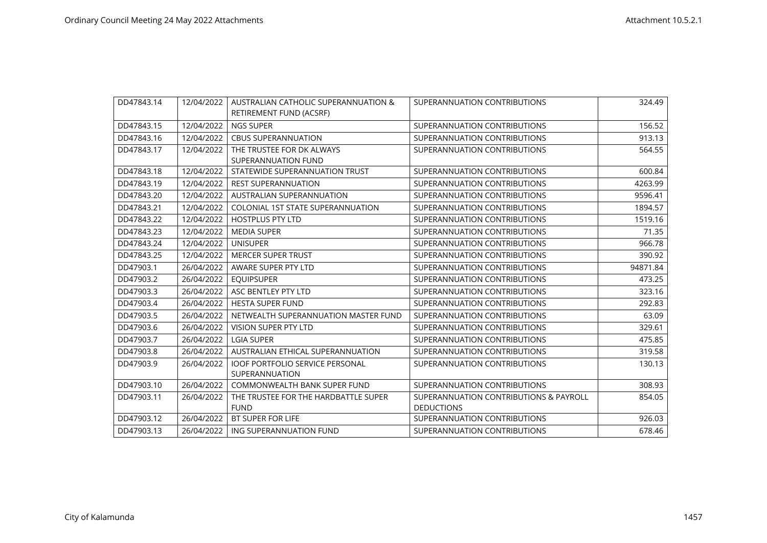| DD47843.14 | 12/04/2022 | AUSTRALIAN CATHOLIC SUPERANNUATION &     | SUPERANNUATION CONTRIBUTIONS           | 324.49   |
|------------|------------|------------------------------------------|----------------------------------------|----------|
|            |            | RETIREMENT FUND (ACSRF)                  |                                        |          |
| DD47843.15 | 12/04/2022 | <b>NGS SUPER</b>                         | SUPERANNUATION CONTRIBUTIONS           | 156.52   |
| DD47843.16 | 12/04/2022 | <b>CBUS SUPERANNUATION</b>               | SUPERANNUATION CONTRIBUTIONS           | 913.13   |
| DD47843.17 | 12/04/2022 | THE TRUSTEE FOR DK ALWAYS                | SUPERANNUATION CONTRIBUTIONS           | 564.55   |
|            |            | SUPERANNUATION FUND                      |                                        |          |
| DD47843.18 | 12/04/2022 | STATEWIDE SUPERANNUATION TRUST           | SUPERANNUATION CONTRIBUTIONS           | 600.84   |
| DD47843.19 | 12/04/2022 | <b>REST SUPERANNUATION</b>               | SUPERANNUATION CONTRIBUTIONS           | 4263.99  |
| DD47843.20 | 12/04/2022 | AUSTRALIAN SUPERANNUATION                | SUPERANNUATION CONTRIBUTIONS           | 9596.41  |
| DD47843.21 | 12/04/2022 | <b>COLONIAL 1ST STATE SUPERANNUATION</b> | SUPERANNUATION CONTRIBUTIONS           | 1894.57  |
| DD47843.22 | 12/04/2022 | <b>HOSTPLUS PTY LTD</b>                  | SUPERANNUATION CONTRIBUTIONS           | 1519.16  |
| DD47843.23 | 12/04/2022 | <b>MEDIA SUPER</b>                       | SUPERANNUATION CONTRIBUTIONS           | 71.35    |
| DD47843.24 | 12/04/2022 | <b>UNISUPER</b>                          | SUPERANNUATION CONTRIBUTIONS           | 966.78   |
| DD47843.25 | 12/04/2022 | <b>MERCER SUPER TRUST</b>                | SUPERANNUATION CONTRIBUTIONS           | 390.92   |
| DD47903.1  | 26/04/2022 | AWARE SUPER PTY LTD                      | SUPERANNUATION CONTRIBUTIONS           | 94871.84 |
| DD47903.2  | 26/04/2022 | <b>EQUIPSUPER</b>                        | SUPERANNUATION CONTRIBUTIONS           | 473.25   |
| DD47903.3  | 26/04/2022 | ASC BENTLEY PTY LTD                      | SUPERANNUATION CONTRIBUTIONS           | 323.16   |
| DD47903.4  | 26/04/2022 | <b>HESTA SUPER FUND</b>                  | SUPERANNUATION CONTRIBUTIONS           | 292.83   |
| DD47903.5  | 26/04/2022 | NETWEALTH SUPERANNUATION MASTER FUND     | SUPERANNUATION CONTRIBUTIONS           | 63.09    |
| DD47903.6  | 26/04/2022 | <b>VISION SUPER PTY LTD</b>              | SUPERANNUATION CONTRIBUTIONS           | 329.61   |
| DD47903.7  | 26/04/2022 | <b>LGIA SUPER</b>                        | SUPERANNUATION CONTRIBUTIONS           | 475.85   |
| DD47903.8  | 26/04/2022 | AUSTRALIAN ETHICAL SUPERANNUATION        | SUPERANNUATION CONTRIBUTIONS           | 319.58   |
| DD47903.9  | 26/04/2022 | <b>IOOF PORTFOLIO SERVICE PERSONAL</b>   | SUPERANNUATION CONTRIBUTIONS           | 130.13   |
|            |            | SUPERANNUATION                           |                                        |          |
| DD47903.10 | 26/04/2022 | COMMONWEALTH BANK SUPER FUND             | SUPERANNUATION CONTRIBUTIONS           | 308.93   |
| DD47903.11 | 26/04/2022 | THE TRUSTEE FOR THE HARDBATTLE SUPER     | SUPERANNUATION CONTRIBUTIONS & PAYROLL | 854.05   |
|            |            | <b>FUND</b>                              | <b>DEDUCTIONS</b>                      |          |
| DD47903.12 | 26/04/2022 | <b>BT SUPER FOR LIFE</b>                 | SUPERANNUATION CONTRIBUTIONS           | 926.03   |
| DD47903.13 | 26/04/2022 | ING SUPERANNUATION FUND                  | SUPERANNUATION CONTRIBUTIONS           | 678.46   |